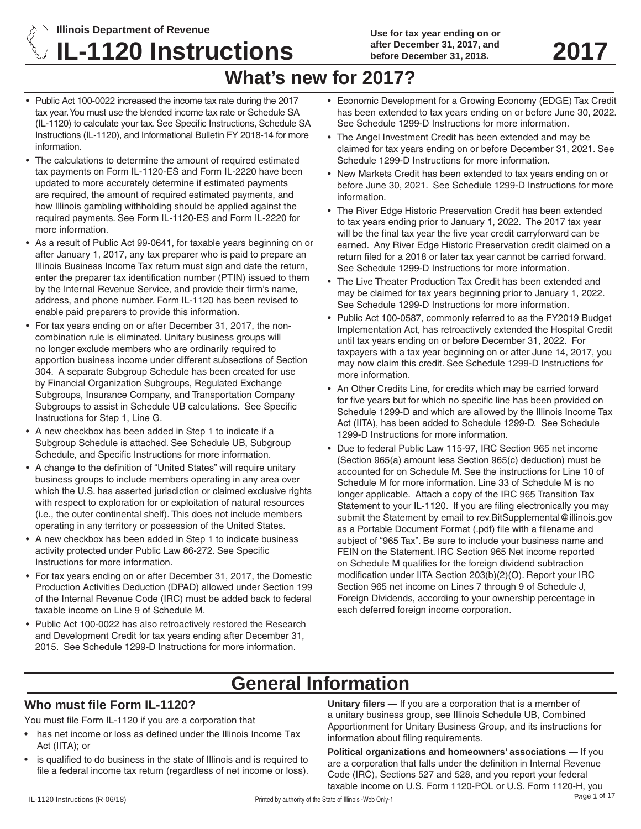# **Illinois Department of Revenue IL-1120 Instructions** after December 31, 2017, and 2017

**Use for tax year ending on or after December 31, 2017, and before December 31, 2018.** 

# **What's new for 2017?**

- Public Act 100-0022 increased the income tax rate during the 2017 tax year.You must use the blended income tax rate or Schedule SA (IL-1120) to calculate your tax. See Specific Instructions, Schedule SA Instructions (IL-1120), and Informational Bulletin FY 2018-14 for more information.
- The calculations to determine the amount of required estimated tax payments on Form IL-1120-ES and Form IL-2220 have been updated to more accurately determine if estimated payments are required, the amount of required estimated payments, and how Illinois gambling withholding should be applied against the required payments. See Form IL-1120-ES and Form IL-2220 for more information.
- As a result of Public Act 99-0641, for taxable years beginning on or after January 1, 2017, any tax preparer who is paid to prepare an Illinois Business Income Tax return must sign and date the return, enter the preparer tax identification number (PTIN) issued to them by the Internal Revenue Service, and provide their firm's name, address, and phone number. Form IL-1120 has been revised to enable paid preparers to provide this information.
- For tax years ending on or after December 31, 2017, the noncombination rule is eliminated. Unitary business groups will no longer exclude members who are ordinarily required to apportion business income under different subsections of Section 304. A separate Subgroup Schedule has been created for use by Financial Organization Subgroups, Regulated Exchange Subgroups, Insurance Company, and Transportation Company Subgroups to assist in Schedule UB calculations. See Specific Instructions for Step 1, Line G.
- A new checkbox has been added in Step 1 to indicate if a Subgroup Schedule is attached. See Schedule UB, Subgroup Schedule, and Specific Instructions for more information.
- A change to the definition of "United States" will require unitary business groups to include members operating in any area over which the U.S. has asserted jurisdiction or claimed exclusive rights with respect to exploration for or exploitation of natural resources (i.e., the outer continental shelf). This does not include members operating in any territory or possession of the United States.
- A new checkbox has been added in Step 1 to indicate business activity protected under Public Law 86-272. See Specific Instructions for more information.
- For tax years ending on or after December 31, 2017, the Domestic Production Activities Deduction (DPAD) allowed under Section 199 of the Internal Revenue Code (IRC) must be added back to federal taxable income on Line 9 of Schedule M.
- Public Act 100-0022 has also retroactively restored the Research and Development Credit for tax years ending after December 31, 2015. See Schedule 1299-D Instructions for more information.
- Economic Development for a Growing Economy (EDGE) Tax Credit has been extended to tax years ending on or before June 30, 2022. See Schedule 1299-D Instructions for more information.
- The Angel Investment Credit has been extended and may be claimed for tax years ending on or before December 31, 2021. See Schedule 1299-D Instructions for more information.
- New Markets Credit has been extended to tax years ending on or before June 30, 2021. See Schedule 1299-D Instructions for more information.
- The River Edge Historic Preservation Credit has been extended to tax years ending prior to January 1, 2022. The 2017 tax year will be the final tax year the five year credit carryforward can be earned. Any River Edge Historic Preservation credit claimed on a return filed for a 2018 or later tax year cannot be carried forward. See Schedule 1299-D Instructions for more information.
- The Live Theater Production Tax Credit has been extended and may be claimed for tax years beginning prior to January 1, 2022. See Schedule 1299-D Instructions for more information.
- Public Act 100-0587, commonly referred to as the FY2019 Budget Implementation Act, has retroactively extended the Hospital Credit until tax years ending on or before December 31, 2022. For taxpayers with a tax year beginning on or after June 14, 2017, you may now claim this credit. See Schedule 1299-D Instructions for more information.
- An Other Credits Line, for credits which may be carried forward for five years but for which no specific line has been provided on Schedule 1299-D and which are allowed by the Illinois Income Tax Act (IITA), has been added to Schedule 1299-D. See Schedule 1299-D Instructions for more information.
- Due to federal Public Law 115-97, IRC Section 965 net income (Section 965(a) amount less Section 965(c) deduction) must be accounted for on Schedule M. See the instructions for Line 10 of Schedule M for more information. Line 33 of Schedule M is no longer applicable. Attach a copy of the IRC 965 Transition Tax Statement to your IL-1120. If you are filing electronically you may submit the Statement by email to rev. BitSupplemental@illinois.gov as a Portable Document Format (.pdf) file with a filename and subject of "965 Tax". Be sure to include your business name and FEIN on the Statement. IRC Section 965 Net income reported on Schedule M qualifies for the foreign dividend subtraction modification under IITA Section 203(b)(2)(O). Report your IRC Section 965 net income on Lines 7 through 9 of Schedule J, Foreign Dividends, according to your ownership percentage in each deferred foreign income corporation.

# **General Information**

# **Who must file Form IL-1120?**

You must file Form IL-1120 if you are a corporation that

- has net income or loss as defined under the Illinois Income Tax Act (IITA); or
- is qualified to do business in the state of Illinois and is required to file a federal income tax return (regardless of net income or loss).

**Unitary filers —** If you are a corporation that is a member of a unitary business group, see Illinois Schedule UB, Combined Apportionment for Unitary Business Group, and its instructions for information about filing requirements.

**Political organizations and homeowners' associations —** If you are a corporation that falls under the definition in Internal Revenue Code (IRC), Sections 527 and 528, and you report your federal taxable income on U.S. Form 1120-POL or U.S. Form 1120-H, you<br>Page 1 of 17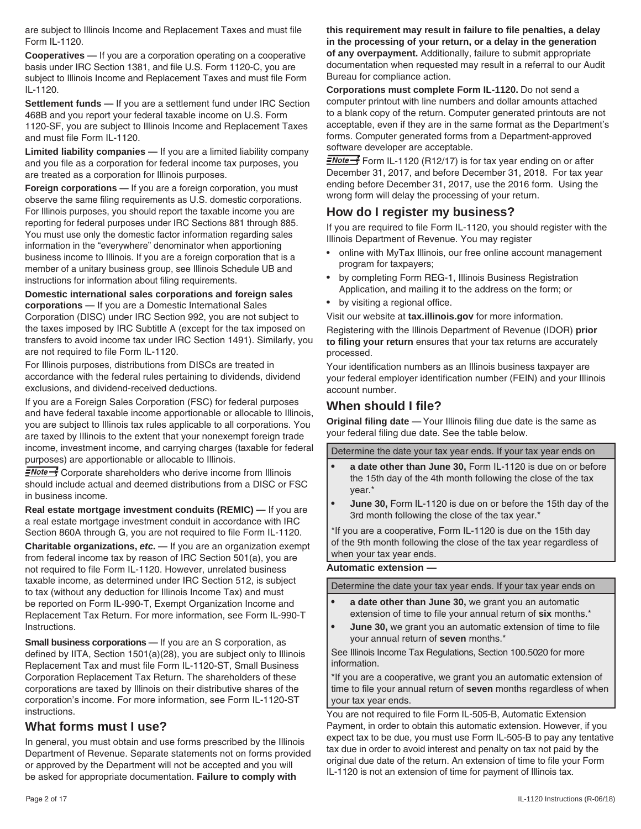are subject to Illinois Income and Replacement Taxes and must file Form IL-1120.

**Cooperatives —** If you are a corporation operating on a cooperative basis under IRC Section 1381, and file U.S. Form 1120-C, you are subject to Illinois Income and Replacement Taxes and must file Form IL-1120.

**Settlement funds —** If you are a settlement fund under IRC Section 468B and you report your federal taxable income on U.S. Form 1120-SF, you are subject to Illinois Income and Replacement Taxes and must file Form IL-1120.

**Limited liability companies —** If you are a limited liability company and you file as a corporation for federal income tax purposes, you are treated as a corporation for Illinois purposes.

**Foreign corporations —** If you are a foreign corporation, you must observe the same filing requirements as U.S. domestic corporations. For Illinois purposes, you should report the taxable income you are reporting for federal purposes under IRC Sections 881 through 885. You must use only the domestic factor information regarding sales information in the "everywhere" denominator when apportioning business income to Illinois. If you are a foreign corporation that is a member of a unitary business group, see Illinois Schedule UB and instructions for information about filing requirements.

**Domestic international sales corporations and foreign sales corporations —** If you are a Domestic International Sales Corporation (DISC) under IRC Section 992, you are not subject to the taxes imposed by IRC Subtitle A (except for the tax imposed on transfers to avoid income tax under IRC Section 1491). Similarly, you are not required to file Form IL-1120.

For Illinois purposes, distributions from DISCs are treated in accordance with the federal rules pertaining to dividends, dividend exclusions, and dividend-received deductions.

If you are a Foreign Sales Corporation (FSC) for federal purposes and have federal taxable income apportionable or allocable to Illinois, you are subject to Illinois tax rules applicable to all corporations. You are taxed by Illinois to the extent that your nonexempt foreign trade income, investment income, and carrying charges (taxable for federal purposes) are apportionable or allocable to Illinois.

 $\equiv$ Note $\rightarrow$ <sup>5</sup> Corporate shareholders who derive income from Illinois should include actual and deemed distributions from a DISC or FSC in business income.

**Real estate mortgage investment conduits (REMIC) —** If you are a real estate mortgage investment conduit in accordance with IRC Section 860A through G, you are not required to file Form IL-1120.

**Charitable organizations,** *etc.* **—** If you are an organization exempt from federal income tax by reason of IRC Section 501(a), you are not required to file Form IL-1120. However, unrelated business taxable income, as determined under IRC Section 512, is subject to tax (without any deduction for Illinois Income Tax) and must be reported on Form IL-990-T, Exempt Organization Income and Replacement Tax Return. For more information, see Form IL-990-T Instructions.

**Small business corporations —** If you are an S corporation, as defined by IITA, Section 1501(a)(28), you are subject only to Illinois Replacement Tax and must file Form IL-1120-ST, Small Business Corporation Replacement Tax Return. The shareholders of these corporations are taxed by Illinois on their distributive shares of the corporation's income. For more information, see Form IL-1120-ST instructions.

#### **What forms must I use?**

In general, you must obtain and use forms prescribed by the Illinois Department of Revenue. Separate statements not on forms provided or approved by the Department will not be accepted and you will be asked for appropriate documentation. **Failure to comply with** 

**this requirement may result in failure to file penalties, a delay in the processing of your return, or a delay in the generation of any overpayment.** Additionally, failure to submit appropriate documentation when requested may result in a referral to our Audit Bureau for compliance action.

**Corporations must complete Form IL-1120.** Do not send a computer printout with line numbers and dollar amounts attached to a blank copy of the return. Computer generated printouts are not acceptable, even if they are in the same format as the Department's forms. Computer generated forms from a Department-approved software developer are acceptable.

 $\frac{2\pi}{3}$  Form IL-1120 (R12/17) is for tax year ending on or after December 31, 2017, and before December 31, 2018. For tax year ending before December 31, 2017, use the 2016 form. Using the wrong form will delay the processing of your return.

# **How do I register my business?**

If you are required to file Form IL-1120, you should register with the Illinois Department of Revenue. You may register

- online with MyTax Illinois, our free online account management program for taxpayers;
- by completing Form REG-1, Illinois Business Registration Application, and mailing it to the address on the form; or
- by visiting a regional office.

Visit our website at **tax.illinois.gov** for more information.

Registering with the Illinois Department of Revenue (IDOR) **prior to filing your return** ensures that your tax returns are accurately processed.

Your identification numbers as an Illinois business taxpayer are your federal employer identification number (FEIN) and your Illinois account number.

# **When should I file?**

**Original filing date —** Your Illinois filing due date is the same as your federal filing due date. See the table below.

Determine the date your tax year ends. If your tax year ends on

- a date other than June 30, Form IL-1120 is due on or before the 15th day of the 4th month following the close of the tax year.\*
- **June 30, Form IL-1120 is due on or before the 15th day of the** 3rd month following the close of the tax year.\*

\*If you are a cooperative, Form IL-1120 is due on the 15th day of the 9th month following the close of the tax year regardless of when your tax year ends.

#### **Automatic extension —**

Determine the date your tax year ends. If your tax year ends on

- **a date other than June 30, we grant you an automatic** extension of time to file your annual return of **six** months.\*
- **June 30,** we grant you an automatic extension of time to file your annual return of **seven** months.\*

See Illinois Income Tax Regulations, Section 100.5020 for more information.

\*If you are a cooperative, we grant you an automatic extension of time to file your annual return of **seven** months regardless of when your tax year ends.

You are not required to file Form IL-505-B, Automatic Extension Payment, in order to obtain this automatic extension. However, if you expect tax to be due, you must use Form IL-505-B to pay any tentative tax due in order to avoid interest and penalty on tax not paid by the original due date of the return. An extension of time to file your Form IL-1120 is not an extension of time for payment of Illinois tax.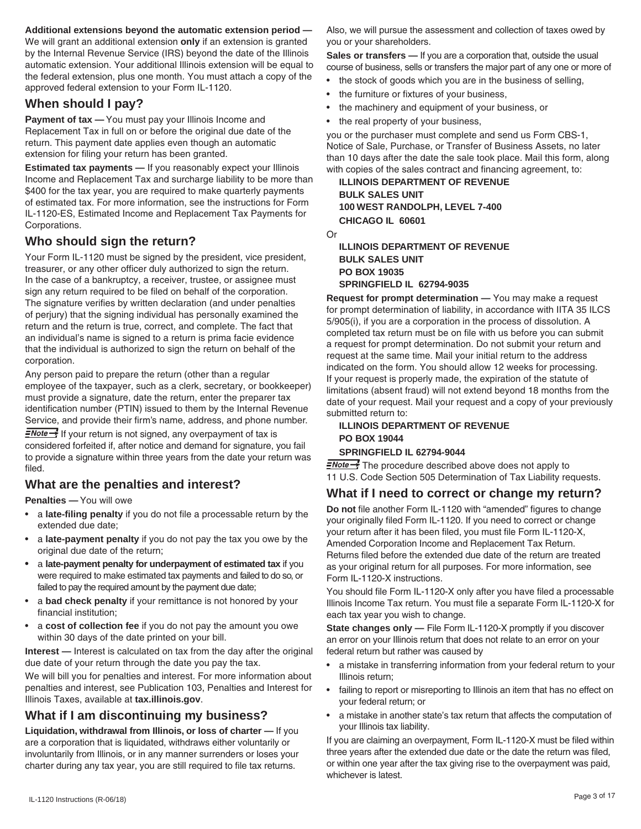#### **Additional extensions beyond the automatic extension period —**

We will grant an additional extension **only** if an extension is granted by the Internal Revenue Service (IRS) beyond the date of the Illinois automatic extension. Your additional Illinois extension will be equal to the federal extension, plus one month. You must attach a copy of the approved federal extension to your Form IL-1120.

# **When should I pay?**

Payment of tax - You must pay your Illinois Income and Replacement Tax in full on or before the original due date of the return. This payment date applies even though an automatic extension for filing your return has been granted.

**Estimated tax payments —** If you reasonably expect your Illinois Income and Replacement Tax and surcharge liability to be more than \$400 for the tax year, you are required to make quarterly payments of estimated tax. For more information, see the instructions for Form IL-1120-ES, Estimated Income and Replacement Tax Payments for Corporations.

# **Who should sign the return?**

Your Form IL-1120 must be signed by the president, vice president, treasurer, or any other officer duly authorized to sign the return. In the case of a bankruptcy, a receiver, trustee, or assignee must sign any return required to be filed on behalf of the corporation. The signature verifies by written declaration (and under penalties of perjury) that the signing individual has personally examined the return and the return is true, correct, and complete. The fact that an individual's name is signed to a return is prima facie evidence that the individual is authorized to sign the return on behalf of the corporation.

Any person paid to prepare the return (other than a regular employee of the taxpayer, such as a clerk, secretary, or bookkeeper) must provide a signature, date the return, enter the preparer tax identification number (PTIN) issued to them by the Internal Revenue Service, and provide their firm's name, address, and phone number.

 $\equiv$ Note  $\rightarrow$  If your return is not signed, any overpayment of tax is considered forfeited if, after notice and demand for signature, you fail to provide a signature within three years from the date your return was filed.

## **What are the penalties and interest?**

**Penalties —** You will owe

- • a **late-filing penalty** if you do not file a processable return by the extended due date;
- a **late-payment penalty** if you do not pay the tax you owe by the original due date of the return;
- a late-payment penalty for underpayment of estimated tax if you were required to make estimated tax payments and failed to do so, or failed to pay the required amount by the payment due date;
- a **bad check penalty** if your remittance is not honored by your financial institution;
- • a **cost of collection fee** if you do not pay the amount you owe within 30 days of the date printed on your bill.

**Interest —** Interest is calculated on tax from the day after the original due date of your return through the date you pay the tax.

We will bill you for penalties and interest. For more information about penalties and interest, see Publication 103, Penalties and Interest for Illinois Taxes, available at **tax.illinois.gov**.

# **What if I am discontinuing my business?**

**Liquidation, withdrawal from Illinois, or loss of charter —** If you are a corporation that is liquidated, withdraws either voluntarily or involuntarily from Illinois, or in any manner surrenders or loses your charter during any tax year, you are still required to file tax returns.

Also, we will pursue the assessment and collection of taxes owed by you or your shareholders.

**Sales or transfers —** If you are a corporation that, outside the usual course of business, sells or transfers the major part of any one or more of

- the stock of goods which you are in the business of selling,
- the furniture or fixtures of your business.
- the machinery and equipment of your business, or
- the real property of your business,

you or the purchaser must complete and send us Form CBS-1, Notice of Sale, Purchase, or Transfer of Business Assets, no later than 10 days after the date the sale took place. Mail this form, along with copies of the sales contract and financing agreement, to:

**ILLINOIS DEPARTMENT OF REVENUE BULK SALES UNIT 100 WEST RANDOLPH, LEVEL 7-400 CHICAGO IL 60601**

Or

#### **ILLINOIS DEPARTMENT OF REVENUE BULK SALES UNIT PO BOX 19035 SPRINGFIELD IL 62794-9035**

**Request for prompt determination —** You may make a request for prompt determination of liability, in accordance with IITA 35 ILCS 5/905(i), if you are a corporation in the process of dissolution. A completed tax return must be on file with us before you can submit a request for prompt determination. Do not submit your return and request at the same time. Mail your initial return to the address indicated on the form. You should allow 12 weeks for processing. If your request is properly made, the expiration of the statute of limitations (absent fraud) will not extend beyond 18 months from the date of your request. Mail your request and a copy of your previously submitted return to:

#### **ILLINOIS DEPARTMENT OF REVENUE PO BOX 19044 SPRINGFIELD IL 62794-9044**

 $\frac{1}{2}$  The procedure described above does not apply to 11 U.S. Code Section 505 Determination of Tax Liability requests.

# **What if I need to correct or change my return?**

**Do not** file another Form IL-1120 with "amended" figures to change your originally filed Form IL-1120. If you need to correct or change your return after it has been filed, you must file Form IL-1120-X, Amended Corporation Income and Replacement Tax Return. Returns filed before the extended due date of the return are treated as your original return for all purposes. For more information, see Form IL-1120-X instructions.

You should file Form IL-1120-X only after you have filed a processable Illinois Income Tax return. You must file a separate Form IL-1120-X for each tax year you wish to change.

**State changes only —** File Form IL-1120-X promptly if you discover an error on your Illinois return that does not relate to an error on your federal return but rather was caused by

- a mistake in transferring information from your federal return to your Illinois return;
- failing to report or misreporting to Illinois an item that has no effect on your federal return; or
- a mistake in another state's tax return that affects the computation of your Illinois tax liability.

If you are claiming an overpayment, Form IL-1120-X must be filed within three years after the extended due date or the date the return was filed, or within one year after the tax giving rise to the overpayment was paid, whichever is latest.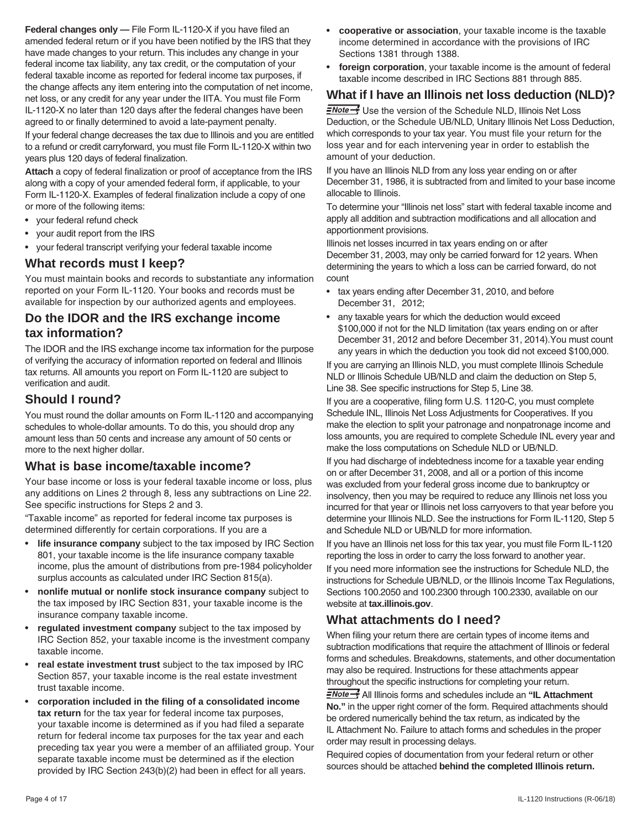**Federal changes only —** File Form IL-1120-X if you have filed an amended federal return or if you have been notified by the IRS that they have made changes to your return. This includes any change in your federal income tax liability, any tax credit, or the computation of your federal taxable income as reported for federal income tax purposes, if the change affects any item entering into the computation of net income, net loss, or any credit for any year under the IITA. You must file Form IL-1120-X no later than 120 days after the federal changes have been agreed to or finally determined to avoid a late-payment penalty.

If your federal change decreases the tax due to Illinois and you are entitled to a refund or credit carryforward, you must file Form IL-1120-X within two years plus 120 days of federal finalization.

**Attach** a copy of federal finalization or proof of acceptance from the IRS along with a copy of your amended federal form, if applicable, to your Form IL-1120-X. Examples of federal finalization include a copy of one or more of the following items:

- your federal refund check
- your audit report from the IRS
- your federal transcript verifying your federal taxable income

## **What records must I keep?**

You must maintain books and records to substantiate any information reported on your Form IL-1120. Your books and records must be available for inspection by our authorized agents and employees.

# **Do the IDOR and the IRS exchange income tax information?**

The IDOR and the IRS exchange income tax information for the purpose of verifying the accuracy of information reported on federal and Illinois tax returns. All amounts you report on Form IL-1120 are subject to verification and audit.

# **Should I round?**

You must round the dollar amounts on Form IL-1120 and accompanying schedules to whole-dollar amounts. To do this, you should drop any amount less than 50 cents and increase any amount of 50 cents or more to the next higher dollar.

## **What is base income/taxable income?**

Your base income or loss is your federal taxable income or loss, plus any additions on Lines 2 through 8, less any subtractions on Line 22. See specific instructions for Steps 2 and 3.

"Taxable income" as reported for federal income tax purposes is determined differently for certain corporations. If you are a

- **life insurance company** subject to the tax imposed by IRC Section 801, your taxable income is the life insurance company taxable income, plus the amount of distributions from pre-1984 policyholder surplus accounts as calculated under IRC Section 815(a).
- **nonlife mutual or nonlife stock insurance company** subject to the tax imposed by IRC Section 831, your taxable income is the insurance company taxable income.
- regulated investment company subject to the tax imposed by IRC Section 852, your taxable income is the investment company taxable income.
- **real estate investment trust** subject to the tax imposed by IRC Section 857, your taxable income is the real estate investment trust taxable income.
- corporation included in the filing of a consolidated income **tax return** for the tax year for federal income tax purposes, your taxable income is determined as if you had filed a separate return for federal income tax purposes for the tax year and each preceding tax year you were a member of an affiliated group. Your separate taxable income must be determined as if the election provided by IRC Section 243(b)(2) had been in effect for all years.
- • **cooperative or association**, your taxable income is the taxable income determined in accordance with the provisions of IRC Sections 1381 through 1388.
- **foreign corporation**, your taxable income is the amount of federal taxable income described in IRC Sections 881 through 885.

# **What if I have an Illinois net loss deduction (NLD)?**

**ENote** Subsemble version of the Schedule NLD, Illinois Net Loss Deduction, or the Schedule UB/NLD, Unitary Illinois Net Loss Deduction, which corresponds to your tax year. You must file your return for the loss year and for each intervening year in order to establish the amount of your deduction.

If you have an Illinois NLD from any loss year ending on or after December 31, 1986, it is subtracted from and limited to your base income allocable to Illinois.

To determine your "Illinois net loss" start with federal taxable income and apply all addition and subtraction modifications and all allocation and apportionment provisions.

Illinois net losses incurred in tax years ending on or after December 31, 2003, may only be carried forward for 12 years. When determining the years to which a loss can be carried forward, do not count

- tax years ending after December 31, 2010, and before December 31, 2012;
- any taxable years for which the deduction would exceed \$100,000 if not for the NLD limitation (tax years ending on or after December 31, 2012 and before December 31, 2014).You must count any years in which the deduction you took did not exceed \$100,000.

If you are carrying an Illinois NLD, you must complete Illinois Schedule NLD or Illinois Schedule UB/NLD and claim the deduction on Step 5, Line 38. See specific instructions for Step 5, Line 38.

If you are a cooperative, filing form U.S. 1120-C, you must complete Schedule INL, Illinois Net Loss Adjustments for Cooperatives. If you make the election to split your patronage and nonpatronage income and loss amounts, you are required to complete Schedule INL every year and make the loss computations on Schedule NLD or UB/NLD.

If you had discharge of indebtedness income for a taxable year ending on or after December 31, 2008, and all or a portion of this income was excluded from your federal gross income due to bankruptcy or insolvency, then you may be required to reduce any Illinois net loss you incurred for that year or Illinois net loss carryovers to that year before you determine your Illinois NLD. See the instructions for Form IL-1120, Step 5 and Schedule NLD or UB/NLD for more information.

If you have an Illinois net loss for this tax year, you must file Form IL-1120 reporting the loss in order to carry the loss forward to another year.

If you need more information see the instructions for Schedule NLD, the instructions for Schedule UB/NLD, or the Illinois Income Tax Regulations, Sections 100.2050 and 100.2300 through 100.2330, available on our website at **tax.illinois.gov**.

## **What attachments do I need?**

When filing your return there are certain types of income items and subtraction modifications that require the attachment of Illinois or federal forms and schedules. Breakdowns, statements, and other documentation may also be required. Instructions for these attachments appear throughout the specific instructions for completing your return.

All Illinois forms and schedules include an **"IL Attachment No."** in the upper right corner of the form. Required attachments should be ordered numerically behind the tax return, as indicated by the IL Attachment No. Failure to attach forms and schedules in the proper order may result in processing delays.

Required copies of documentation from your federal return or other sources should be attached **behind the completed Illinois return.**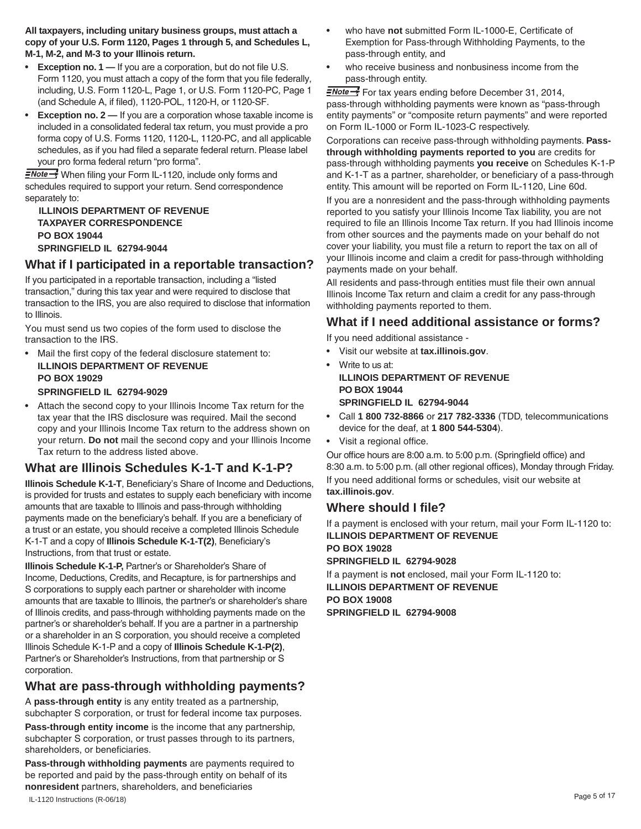**All taxpayers, including unitary business groups, must attach a copy of your U.S. Form 1120, Pages 1 through 5, and Schedules L, M-1, M-2, and M-3 to your Illinois return.** 

- **Exception no. 1 —** If you are a corporation, but do not file U.S. Form 1120, you must attach a copy of the form that you file federally, including, U.S. Form 1120-L, Page 1, or U.S. Form 1120-PC, Page 1 (and Schedule A, if filed), 1120-POL, 1120-H, or 1120-SF.
- Exception no. 2 If you are a corporation whose taxable income is included in a consolidated federal tax return, you must provide a pro forma copy of U.S. Forms 1120, 1120-L, 1120-PC, and all applicable schedules, as if you had filed a separate federal return. Please label your pro forma federal return "pro forma".

**ENote** Vhen filing your Form IL-1120, include only forms and schedules required to support your return. Send correspondence separately to:

**ILLINOIS DEPARTMENT OF REVENUE TAXPAYER CORRESPONDENCE PO BOX 19044 SPRINGFIELD IL 62794-9044**

# **What if I participated in a reportable transaction?**

If you participated in a reportable transaction, including a "listed transaction," during this tax year and were required to disclose that transaction to the IRS, you are also required to disclose that information to Illinois.

You must send us two copies of the form used to disclose the transaction to the IRS.

Mail the first copy of the federal disclosure statement to: **ILLINOIS DEPARTMENT OF REVENUE PO BOX 19029**

#### **SPRINGFIELD IL 62794-9029**

• Attach the second copy to your Illinois Income Tax return for the tax year that the IRS disclosure was required. Mail the second copy and your Illinois Income Tax return to the address shown on your return. **Do not** mail the second copy and your Illinois Income Tax return to the address listed above.

# **What are Illinois Schedules K-1-T and K-1-P?**

**Illinois Schedule K-1-T**, Beneficiary's Share of Income and Deductions, is provided for trusts and estates to supply each beneficiary with income amounts that are taxable to Illinois and pass-through withholding payments made on the beneficiary's behalf. If you are a beneficiary of a trust or an estate, you should receive a completed Illinois Schedule K-1-T and a copy of **Illinois Schedule K-1-T(2)**, Beneficiary's Instructions, from that trust or estate.

**Illinois Schedule K-1-P,** Partner's or Shareholder's Share of Income, Deductions, Credits, and Recapture, is for partnerships and S corporations to supply each partner or shareholder with income amounts that are taxable to Illinois, the partner's or shareholder's share of Illinois credits, and pass-through withholding payments made on the partner's or shareholder's behalf. If you are a partner in a partnership or a shareholder in an S corporation, you should receive a completed Illinois Schedule K-1-P and a copy of **Illinois Schedule K-1-P(2)**, Partner's or Shareholder's Instructions, from that partnership or S corporation.

# **What are pass-through withholding payments?**

A **pass-through entity** is any entity treated as a partnership, subchapter S corporation, or trust for federal income tax purposes. **Pass-through entity income** is the income that any partnership, subchapter S corporation, or trust passes through to its partners, shareholders, or beneficiaries.

IL-1120 Instructions (R-06/18) Page <sup>5</sup> of <sup>17</sup> **Pass-through withholding payments** are payments required to be reported and paid by the pass-through entity on behalf of its **nonresident** partners, shareholders, and beneficiaries

- who have not submitted Form IL-1000-E, Certificate of Exemption for Pass-through Withholding Payments, to the pass-through entity, and
- who receive business and nonbusiness income from the pass-through entity.

FNote For tax years ending before December 31, 2014, pass-through withholding payments were known as "pass-through entity payments" or "composite return payments" and were reported on Form IL-1000 or Form IL-1023-C respectively.

Corporations can receive pass-through withholding payments. **Passthrough withholding payments reported to you** are credits for pass-through withholding payments **you receive** on Schedules K-1-P and K-1-T as a partner, shareholder, or beneficiary of a pass-through entity. This amount will be reported on Form IL-1120, Line 60d.

If you are a nonresident and the pass-through withholding payments reported to you satisfy your Illinois Income Tax liability, you are not required to file an Illinois Income Tax return. If you had Illinois income from other sources and the payments made on your behalf do not cover your liability, you must file a return to report the tax on all of your Illinois income and claim a credit for pass-through withholding payments made on your behalf.

All residents and pass-through entities must file their own annual Illinois Income Tax return and claim a credit for any pass-through withholding payments reported to them.

# **What if I need additional assistance or forms?**

If you need additional assistance -

- • Visit our website at **tax.illinois.gov**.
- Write to us at: **ILLINOIS DEPARTMENT OF REVENUE PO BOX 19044 SPRINGFIELD IL 62794-9044**
- • Call **1 800 732-8866** or **217 782-3336** (TDD, telecommunications device for the deaf, at **1 800 544-5304**).
- • Visit a regional office.

Our office hours are 8:00 a.m. to 5:00 p.m. (Springfield office) and 8:30 a.m. to 5:00 p.m. (all other regional offices), Monday through Friday. If you need additional forms or schedules, visit our website at **tax.illinois.gov**.

# **Where should I file?**

If a payment is enclosed with your return, mail your Form IL-1120 to: **ILLINOIS DEPARTMENT OF REVENUE PO BOX 19028 SPRINGFIELD IL 62794-9028**

If a payment is **not** enclosed, mail your Form IL-1120 to: **ILLINOIS DEPARTMENT OF REVENUE PO BOX 19008 SPRINGFIELD IL 62794-9008**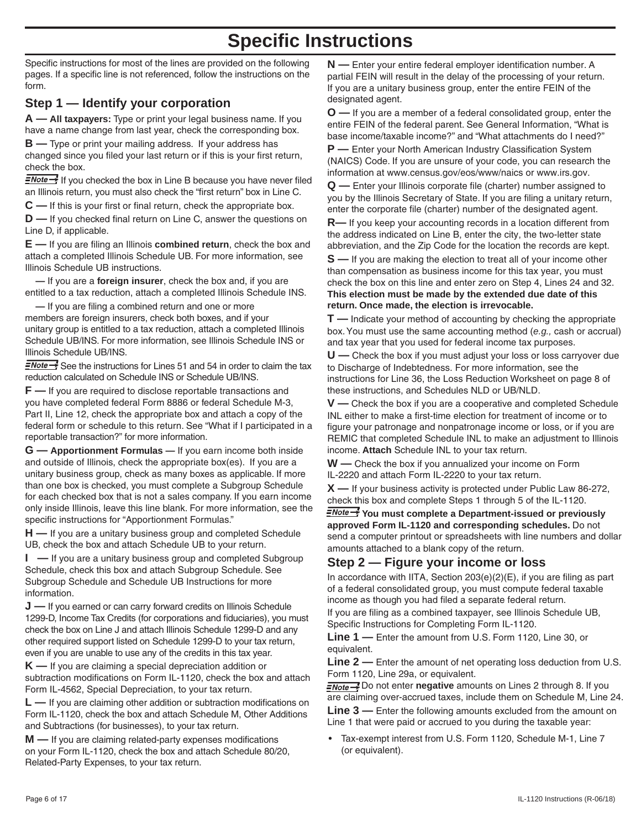# **Specific Instructions**

Specific instructions for most of the lines are provided on the following pages. If a specific line is not referenced, follow the instructions on the form.

# **Step 1 — Identify your corporation**

**A — All taxpayers:** Type or print your legal business name. If you have a name change from last year, check the corresponding box.

**B —** Type or print your mailing address. If your address has changed since you filed your last return or if this is your first return, check the box.

 $\frac{1}{2}$  If you checked the box in Line B because you have never filed an Illinois return, you must also check the "first return" box in Line C.

**C —** If this is your first or final return, check the appropriate box.

**D** — If you checked final return on Line C, answer the questions on Line D, if applicable.

**E —** If you are filing an Illinois **combined return**, check the box and attach a completed Illinois Schedule UB. For more information, see Illinois Schedule UB instructions.

 **—** If you are a **foreign insurer**, check the box and, if you are entitled to a tax reduction, attach a completed Illinois Schedule INS.

 **—** If you are filing a combined return and one or more members are foreign insurers, check both boxes, and if your unitary group is entitled to a tax reduction, attach a completed Illinois Schedule UB/INS. For more information, see Illinois Schedule INS or Illinois Schedule UB/INS.

 $\frac{7}{5}$  See the instructions for Lines 51 and 54 in order to claim the tax reduction calculated on Schedule INS or Schedule UB/INS.

**F —** If you are required to disclose reportable transactions and you have completed federal Form 8886 or federal Schedule M-3, Part II, Line 12, check the appropriate box and attach a copy of the federal form or schedule to this return. See "What if I participated in a reportable transaction?" for more information.

**G — Apportionment Formulas —** If you earn income both inside and outside of Illinois, check the appropriate box(es). If you are a unitary business group, check as many boxes as applicable. If more than one box is checked, you must complete a Subgroup Schedule for each checked box that is not a sales company. If you earn income only inside Illinois, leave this line blank. For more information, see the specific instructions for "Apportionment Formulas."

**H —** If you are a unitary business group and completed Schedule UB, check the box and attach Schedule UB to your return.

**I —** If you are a unitary business group and completed Subgroup Schedule, check this box and attach Subgroup Schedule. See Subgroup Schedule and Schedule UB Instructions for more information.

**J** — If you earned or can carry forward credits on Illinois Schedule 1299-D, Income Tax Credits (for corporations and fiduciaries), you must check the box on Line J and attach Illinois Schedule 1299-D and any other required support listed on Schedule 1299-D to your tax return, even if you are unable to use any of the credits in this tax year.

**K —** If you are claiming a special depreciation addition or subtraction modifications on Form IL-1120, check the box and attach Form IL-4562, Special Depreciation, to your tax return.

**L —** If you are claiming other addition or subtraction modifications on Form IL-1120, check the box and attach Schedule M, Other Additions and Subtractions (for businesses), to your tax return.

**M —** If you are claiming related-party expenses modifications on your Form IL-1120, check the box and attach Schedule 80/20, Related-Party Expenses, to your tax return.

**N** — Enter your entire federal employer identification number. A partial FEIN will result in the delay of the processing of your return. If you are a unitary business group, enter the entire FEIN of the designated agent.

**O** — If you are a member of a federal consolidated group, enter the entire FEIN of the federal parent. See General Information, "What is base income/taxable income?" and "What attachments do I need?"

**P** — Enter your North American Industry Classification System (NAICS) Code. If you are unsure of your code, you can research the information at www.census.gov/eos/www/naics or www.irs.gov.

**Q** — Enter your Illinois corporate file (charter) number assigned to you by the Illinois Secretary of State. If you are filing a unitary return, enter the corporate file (charter) number of the designated agent.

**R**— If you keep your accounting records in a location different from the address indicated on Line B, enter the city, the two-letter state abbreviation, and the Zip Code for the location the records are kept.

**S** — If you are making the election to treat all of your income other than compensation as business income for this tax year, you must check the box on this line and enter zero on Step 4, Lines 24 and 32. **This election must be made by the extended due date of this return. Once made, the election is irrevocable.**

**T** — Indicate your method of accounting by checking the appropriate box. You must use the same accounting method (*e.g.*, cash or accrual) and tax year that you used for federal income tax purposes.

**U** — Check the box if you must adjust your loss or loss carryover due to Discharge of Indebtedness. For more information, see the instructions for Line 36, the Loss Reduction Worksheet on page 8 of these instructions, and Schedules NLD or UB/NLD.

**V** — Check the box if you are a cooperative and completed Schedule INL either to make a first-time election for treatment of income or to figure your patronage and nonpatronage income or loss, or if you are REMIC that completed Schedule INL to make an adjustment to Illinois income. Attach Schedule INL to your tax return.

**W** — Check the box if you annualized your income on Form IL-2220 and attach Form IL-2220 to your tax return.

**X** — If your business activity is protected under Public Law 86-272, check this box and complete Steps 1 through 5 of the IL-1120.

*<u>FNote -</u>* You must complete a Department-issued or previously approved Form IL-1120 and corresponding schedules. Do not send a computer printout or spreadsheets with line numbers and dollar amounts attached to a blank copy of the return.

# **Step 2 — Figure your income or loss**

In accordance with IITA, Section  $203(e)(2)(E)$ , if you are filing as part of a federal consolidated group, you must compute federal taxable income as though you had filed a separate federal return.

If you are filing as a combined taxpayer, see Illinois Schedule UB, Specific Instructions for Completing Form IL-1120.

**Line 1** — Enter the amount from U.S. Form 1120, Line 30, or equivalent.

**Line 2** — Enter the amount of net operating loss deduction from U.S. Form 1120, Line 29a, or equivalent.

*<u>ENote ></u>* Do not enter **negative** amounts on Lines 2 through 8. If you are claiming over-accrued taxes, include them on Schedule M, Line 24.

**Line 3** — Enter the following amounts excluded from the amount on Line 1 that were paid or accrued to you during the taxable year:

Tax-exempt interest from U.S. Form 1120, Schedule M-1, Line 7  $\bullet$ (or equivalent).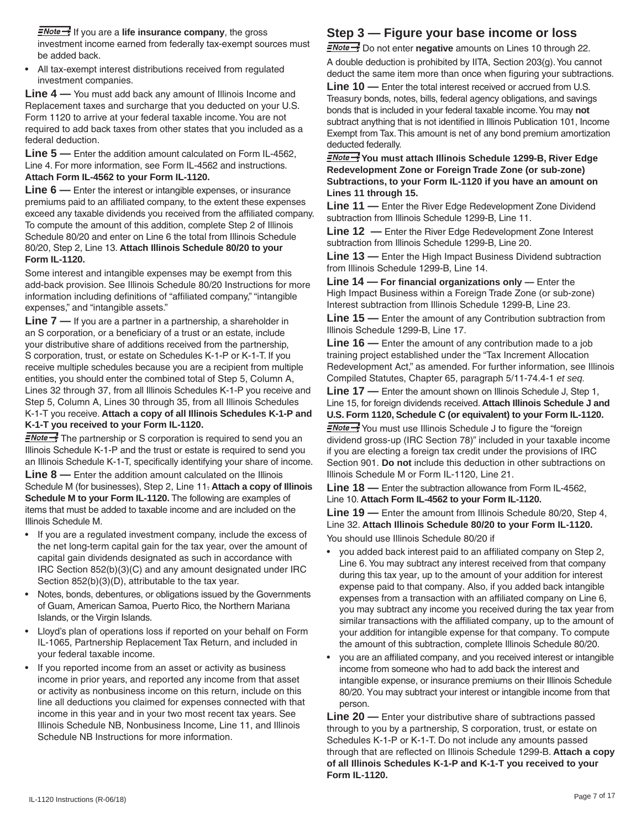*<u>ENote S</u>* If you are a life insurance company, the gross investment income earned from federally tax-exempt sources must be added back.

• All tax-exempt interest distributions received from regulated investment companies.

**Line 4 —** You must add back any amount of Illinois Income and Replacement taxes and surcharge that you deducted on your U.S. Form 1120 to arrive at your federal taxable income. You are not required to add back taxes from other states that you included as a federal deduction.

**Line 5 —** Enter the addition amount calculated on Form IL-4562, Line 4. For more information, see Form IL-4562 and instructions. **Attach Form IL-4562 to your Form IL-1120.**

**Line 6** — Enter the interest or intangible expenses, or insurance premiums paid to an affiliated company, to the extent these expenses exceed any taxable dividends you received from the affiliated company. To compute the amount of this addition, complete Step 2 of Illinois Schedule 80/20 and enter on Line 6 the total from Illinois Schedule 80/20, Step 2, Line 13. **Attach Illinois Schedule 80/20 to your Form IL-1120.**

Some interest and intangible expenses may be exempt from this add-back provision. See Illinois Schedule 80/20 Instructions for more information including definitions of "affiliated company," "intangible expenses," and "intangible assets."

**Line 7 —** If you are a partner in a partnership, a shareholder in an S corporation, or a beneficiary of a trust or an estate, include your distributive share of additions received from the partnership, S corporation, trust, or estate on Schedules K-1-P or K-1-T. If you receive multiple schedules because you are a recipient from multiple entities, you should enter the combined total of Step 5, Column A, Lines 32 through 37, from all Illinois Schedules K-1-P you receive and Step 5, Column A, Lines 30 through 35, from all Illinois Schedules K-1-T you receive. **Attach a copy of all Illinois Schedules K-1-P and K-1-T you received to your Form IL-1120.**

**ENote** <sup>1</sup> The partnership or S corporation is required to send you an Illinois Schedule K-1-P and the trust or estate is required to send you an Illinois Schedule K-1-T, specifically identifying your share of income.

**Line 8 —** Enter the addition amount calculated on the Illinois Schedule M (for businesses), Step 2, Line 11. **Attach a copy of Illinois Schedule M to your Form IL-1120.** The following are examples of items that must be added to taxable income and are included on the Illinois Schedule M.

- If you are a regulated investment company, include the excess of the net long-term capital gain for the tax year, over the amount of capital gain dividends designated as such in accordance with IRC Section 852(b)(3)(C) and any amount designated under IRC Section 852(b)(3)(D), attributable to the tax year.
- Notes, bonds, debentures, or obligations issued by the Governments of Guam, American Samoa, Puerto Rico, the Northern Mariana Islands, or the Virgin Islands.
- Lloyd's plan of operations loss if reported on your behalf on Form IL-1065, Partnership Replacement Tax Return, and included in your federal taxable income.
- If you reported income from an asset or activity as business income in prior years, and reported any income from that asset or activity as nonbusiness income on this return, include on this line all deductions you claimed for expenses connected with that income in this year and in your two most recent tax years. See Illinois Schedule NB, Nonbusiness Income, Line 11, and Illinois Schedule NB Instructions for more information.

# **Step 3 — Figure your base income or loss**

**ENote >>** Do not enter **negative** amounts on Lines 10 through 22. A double deduction is prohibited by IITA, Section 203(g).You cannot deduct the same item more than once when figuring your subtractions.

**Line 10 —** Enter the total interest received or accrued from U.S. Treasury bonds, notes, bills, federal agency obligations, and savings bonds that is included in your federal taxable income.You may **not**  subtract anything that is not identified in Illinois Publication 101, Income Exempt from Tax.This amount is net of any bond premium amortization deducted federally.

*<u>ENote - You</u>* **must attach Illinois Schedule 1299-B, River Edge Redevelopment Zone or Foreign Trade Zone (or sub-zone) Subtractions, to your Form IL-1120 if you have an amount on Lines 11 through 15.**

**Line 11 —** Enter the River Edge Redevelopment Zone Dividend subtraction from Illinois Schedule 1299-B, Line 11.

**Line 12 —** Enter the River Edge Redevelopment Zone Interest subtraction from Illinois Schedule 1299-B, Line 20.

**Line 13 —** Enter the High Impact Business Dividend subtraction from Illinois Schedule 1299-B, Line 14.

**Line 14 — For financial organizations only —** Enter the High Impact Business within a Foreign Trade Zone (or sub-zone) Interest subtraction from Illinois Schedule 1299-B, Line 23.

**Line 15 —** Enter the amount of any Contribution subtraction from Illinois Schedule 1299-B, Line 17.

**Line 16 —** Enter the amount of any contribution made to a job training project established under the "Tax Increment Allocation Redevelopment Act," as amended. For further information, see Illinois Compiled Statutes, Chapter 65, paragraph 5/11-74.4-1 *et seq.*

**Line 17 —** Enter the amount shown on Illinois Schedule J, Step 1, Line 15, for foreign dividends received. **Attach Illinois Schedule J and U.S. Form 1120, Schedule C (or equivalent) to your Form IL-1120.**

**ENote** Syou must use Illinois Schedule J to figure the "foreign dividend gross-up (IRC Section 78)" included in your taxable income if you are electing a foreign tax credit under the provisions of IRC Section 901. **Do not** include this deduction in other subtractions on Illinois Schedule M or Form IL-1120, Line 21.

**Line 18 —** Enter the subtraction allowance from Form IL-4562, Line 10. **Attach Form IL-4562 to your Form IL-1120.**

**Line 19 —** Enter the amount from Illinois Schedule 80/20, Step 4, Line 32. **Attach Illinois Schedule 80/20 to your Form IL-1120.** You should use Illinois Schedule 80/20 if

- you added back interest paid to an affiliated company on Step 2, Line 6. You may subtract any interest received from that company during this tax year, up to the amount of your addition for interest expense paid to that company. Also, if you added back intangible expenses from a transaction with an affiliated company on Line 6, you may subtract any income you received during the tax year from similar transactions with the affiliated company, up to the amount of your addition for intangible expense for that company. To compute the amount of this subtraction, complete Illinois Schedule 80/20.
- you are an affiliated company, and you received interest or intangible income from someone who had to add back the interest and intangible expense, or insurance premiums on their Illinois Schedule 80/20. You may subtract your interest or intangible income from that person.

**Line 20 —** Enter your distributive share of subtractions passed through to you by a partnership, S corporation, trust, or estate on Schedules K-1-P or K-1-T. Do not include any amounts passed through that are reflected on Illinois Schedule 1299-B. **Attach a copy of all Illinois Schedules K-1-P and K-1-T you received to your Form IL-1120.**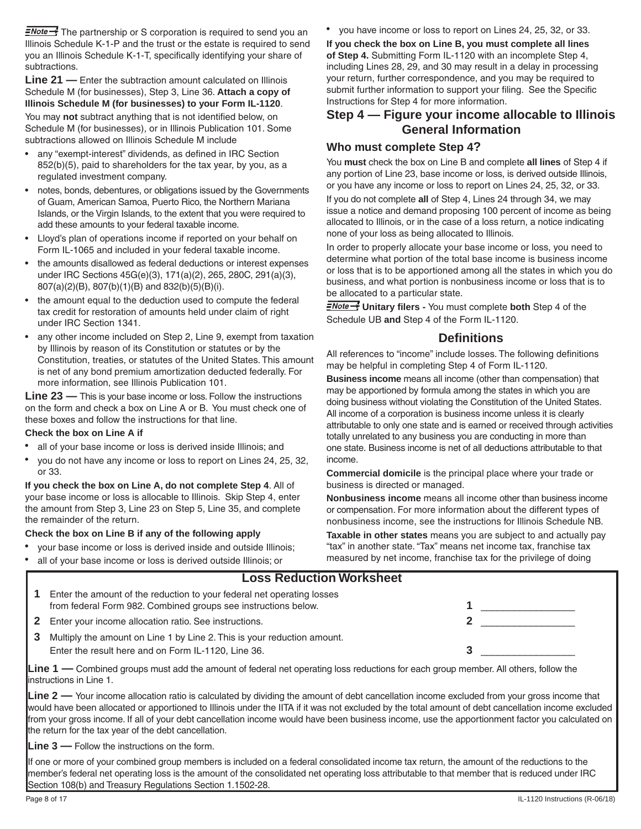$\frac{1}{2}$  The partnership or S corporation is required to send you an Illinois Schedule K-1-P and the trust or the estate is required to send you an Illinois Schedule K-1-T, specifically identifying your share of subtractions.

**Line 21 —** Enter the subtraction amount calculated on Illinois Schedule M (for businesses), Step 3, Line 36. **Attach a copy of Illinois Schedule M (for businesses) to your Form IL-1120**.

You may **not** subtract anything that is not identified below, on Schedule M (for businesses), or in Illinois Publication 101. Some subtractions allowed on Illinois Schedule M include

- any "exempt-interest" dividends, as defined in IRC Section 852(b)(5), paid to shareholders for the tax year, by you, as a regulated investment company.
- notes, bonds, debentures, or obligations issued by the Governments of Guam, American Samoa, Puerto Rico, the Northern Mariana Islands, or the Virgin Islands, to the extent that you were required to add these amounts to your federal taxable income.
- • Lloyd's plan of operations income if reported on your behalf on Form IL-1065 and included in your federal taxable income.
- the amounts disallowed as federal deductions or interest expenses under IRC Sections 45G(e)(3), 171(a)(2), 265, 280C, 291(a)(3), 807(a)(2)(B), 807(b)(1)(B) and 832(b)(5)(B)(i).
- the amount equal to the deduction used to compute the federal tax credit for restoration of amounts held under claim of right under IRC Section 1341.
- any other income included on Step 2, Line 9, exempt from taxation by Illinois by reason of its Constitution or statutes or by the Constitution, treaties, or statutes of the United States. This amount is net of any bond premium amortization deducted federally. For more information, see Illinois Publication 101.

**Line 23 —** This is your base income or loss. Follow the instructions on the form and check a box on Line A or B. You must check one of these boxes and follow the instructions for that line.

#### **Check the box on Line A if**

- all of your base income or loss is derived inside Illinois; and
- you do not have any income or loss to report on Lines 24, 25, 32, or 33.

**If you check the box on Line A, do not complete Step 4**. All of your base income or loss is allocable to Illinois. Skip Step 4, enter the amount from Step 3, Line 23 on Step 5, Line 35, and complete the remainder of the return.

#### **Check the box on Line B if any of the following apply**

- your base income or loss is derived inside and outside Illinois;
- all of your base income or loss is derived outside Illinois; or

• you have income or loss to report on Lines 24, 25, 32, or 33.

**If you check the box on Line B, you must complete all lines of Step 4.** Submitting Form IL-1120 with an incomplete Step 4, including Lines 28, 29, and 30 may result in a delay in processing your return, further correspondence, and you may be required to submit further information to support your filing. See the Specific Instructions for Step 4 for more information.

# **Step 4 — Figure your income allocable to Illinois General Information**

#### **Who must complete Step 4?**

You **must** check the box on Line B and complete **all lines** of Step 4 if any portion of Line 23, base income or loss, is derived outside Illinois, or you have any income or loss to report on Lines 24, 25, 32, or 33.

If you do not complete **all** of Step 4, Lines 24 through 34, we may issue a notice and demand proposing 100 percent of income as being allocated to Illinois, or in the case of a loss return, a notice indicating none of your loss as being allocated to Illinois.

In order to properly allocate your base income or loss, you need to determine what portion of the total base income is business income or loss that is to be apportioned among all the states in which you do business, and what portion is nonbusiness income or loss that is to be allocated to a particular state.

**ENote > Unitary filers -** You must complete **both** Step 4 of the Schedule UB **and** Step 4 of the Form IL-1120.

#### **Definitions**

All references to "income" include losses. The following definitions may be helpful in completing Step 4 of Form IL-1120.

**Business income** means all income (other than compensation) that may be apportioned by formula among the states in which you are doing business without violating the Constitution of the United States. All income of a corporation is business income unless it is clearly attributable to only one state and is earned or received through activities totally unrelated to any business you are conducting in more than one state. Business income is net of all deductions attributable to that income.

**Commercial domicile** is the principal place where your trade or business is directed or managed.

**Nonbusiness income** means all income other than business income or compensation. For more information about the different types of nonbusiness income, see the instructions for Illinois Schedule NB.

**Taxable in other states** means you are subject to and actually pay "tax" in another state. "Tax" means net income tax, franchise tax measured by net income, franchise tax for the privilege of doing

|              | <b>Loss Reduction Worksheet</b>                                                                                                                                       |  |
|--------------|-----------------------------------------------------------------------------------------------------------------------------------------------------------------------|--|
|              | Enter the amount of the reduction to your federal net operating losses<br>from federal Form 982. Combined groups see instructions below.                              |  |
| $\mathbf{2}$ | Enter your income allocation ratio. See instructions.                                                                                                                 |  |
| 3            | Multiply the amount on Line 1 by Line 2. This is your reduction amount.<br>Enter the result here and on Form IL-1120, Line 36.                                        |  |
|              | <b>Line 1</b> — Combined groups must add the amount of federal net operating loss reductions for each group member. All others, follow the<br>instructions in Line 1. |  |

**Line 2 —** Your income allocation ratio is calculated by dividing the amount of debt cancellation income excluded from your gross income that would have been allocated or apportioned to Illinois under the IITA if it was not excluded by the total amount of debt cancellation income excluded from your gross income. If all of your debt cancellation income would have been business income, use the apportionment factor you calculated on the return for the tax year of the debt cancellation.

**Line 3 —** Follow the instructions on the form.

If one or more of your combined group members is included on a federal consolidated income tax return, the amount of the reductions to the member's federal net operating loss is the amount of the consolidated net operating loss attributable to that member that is reduced under IRC Section 108(b) and Treasury Regulations Section 1.1502-28.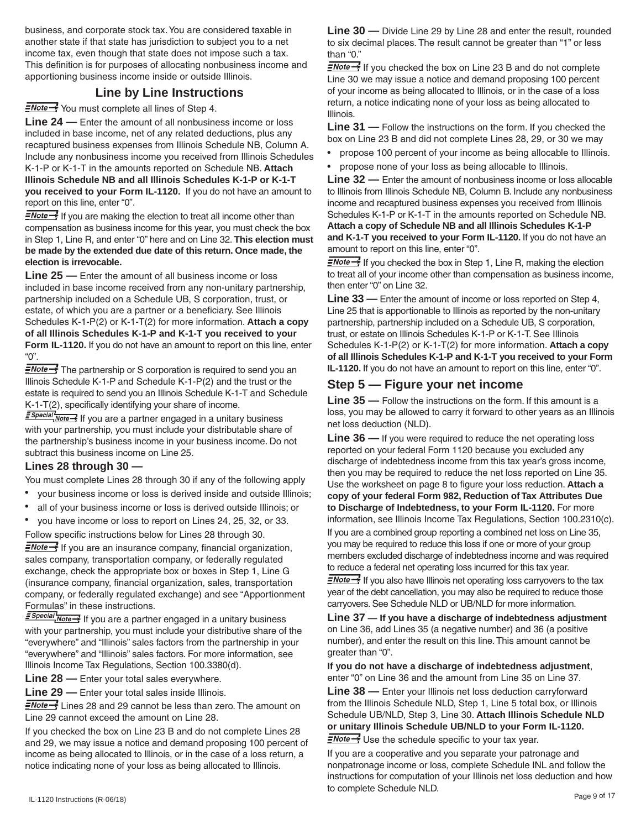business, and corporate stock tax.You are considered taxable in another state if that state has jurisdiction to subject you to a net income tax, even though that state does not impose such a tax. This definition is for purposes of allocating nonbusiness income and apportioning business income inside or outside Illinois.

# **Line by Line Instructions**

 $\frac{N}{2}$  You must complete all lines of Step 4.

**Line 24 —** Enter the amount of all nonbusiness income or loss included in base income, net of any related deductions, plus any recaptured business expenses from Illinois Schedule NB, Column A. Include any nonbusiness income you received from Illinois Schedules K-1-P or K-1-T in the amounts reported on Schedule NB. **Attach Illinois Schedule NB and all Illinois Schedules K-1-P or K-1-T you received to your Form IL-1120.** If you do not have an amount to report on this line, enter "0".

 $\frac{1}{2}$  If you are making the election to treat all income other than compensation as business income for this year, you must check the box in Step 1, Line R, and enter "0" here and on Line 32. **This election must be made by the extended due date of this return. Once made, the election is irrevocable.** 

**Line 25 —** Enter the amount of all business income or loss included in base income received from any non-unitary partnership, partnership included on a Schedule UB, S corporation, trust, or estate, of which you are a partner or a beneficiary. See Illinois Schedules K-1-P(2) or K-1-T(2) for more information. **Attach a copy of all Illinois Schedules K-1-P and K-1-T you received to your Form IL-1120.** If you do not have an amount to report on this line, enter "0".

**ENote** <sup>1</sup> The partnership or S corporation is required to send you an Illinois Schedule K-1-P and Schedule K-1-P(2) and the trust or the estate is required to send you an Illinois Schedule K-1-T and Schedule K-1-T(2), specifically identifying your share of income.

**E** Special Note <sup>1</sup> If you are a partner engaged in a unitary business with your partnership, you must include your distributable share of the partnership's business income in your business income. Do not subtract this business income on Line 25.

#### **Lines 28 through 30 —**

You must complete Lines 28 through 30 if any of the following apply

- your business income or loss is derived inside and outside Illinois;
- all of your business income or loss is derived outside Illinois; or
- • you have income or loss to report on Lines 24, 25, 32, or 33. Follow specific instructions below for Lines 28 through 30.

 $\equiv$ Note  $\rightarrow$  If you are an insurance company, financial organization, sales company, transportation company, or federally regulated exchange, check the appropriate box or boxes in Step 1, Line G (insurance company, financial organization, sales, transportation company, or federally regulated exchange) and see "Apportionment Formulas" in these instructions.

**E** Special Note - If you are a partner engaged in a unitary business with your partnership, you must include your distributive share of the "everywhere" and "Illinois" sales factors from the partnership in your "everywhere" and "Illinois" sales factors. For more information, see Illinois Income Tax Regulations, Section 100.3380(d).

**Line 28 —** Enter your total sales everywhere.

**Line 29 —** Enter your total sales inside Illinois.

ENote >>>>>> Lines 28 and 29 cannot be less than zero. The amount on Line 29 cannot exceed the amount on Line 28.

If you checked the box on Line 23 B and do not complete Lines 28 and 29, we may issue a notice and demand proposing 100 percent of income as being allocated to Illinois, or in the case of a loss return, a notice indicating none of your loss as being allocated to Illinois.

**Line 30 —** Divide Line 29 by Line 28 and enter the result, rounded to six decimal places. The result cannot be greater than "1" or less than "0."

 $\frac{1}{2}$  Mote  $\rightarrow$  If you checked the box on Line 23 B and do not complete Line 30 we may issue a notice and demand proposing 100 percent of your income as being allocated to Illinois, or in the case of a loss return, a notice indicating none of your loss as being allocated to Illinois.

**Line 31 —** Follow the instructions on the form. If you checked the box on Line 23 B and did not complete Lines 28, 29, or 30 we may

- propose 100 percent of your income as being allocable to Illinois.
- propose none of your loss as being allocable to Illinois.

**Line 32 —** Enter the amount of nonbusiness income or loss allocable to Illinois from Illinois Schedule NB, Column B. Include any nonbusiness income and recaptured business expenses you received from Illinois Schedules K-1-P or K-1-T in the amounts reported on Schedule NB. **Attach a copy of Schedule NB and all Illinois Schedules K-1-P and K-1-T you received to your Form IL-1120.** If you do not have an amount to report on this line, enter "0".

 $\frac{1}{2}$  If you checked the box in Step 1, Line R, making the election to treat all of your income other than compensation as business income, then enter "0" on Line 32.

**Line 33 —** Enter the amount of income or loss reported on Step 4, Line 25 that is apportionable to Illinois as reported by the non-unitary partnership, partnership included on a Schedule UB, S corporation, trust, or estate on Illinois Schedules K-1-P or K-1-T. See Illinois Schedules K-1-P(2) or K-1-T(2) for more information. **Attach a copy of all Illinois Schedules K-1-P and K-1-T you received to your Form IL-1120.** If you do not have an amount to report on this line, enter "0".

# **Step 5 — Figure your net income**

**Line 35 —** Follow the instructions on the form. If this amount is a loss, you may be allowed to carry it forward to other years as an Illinois net loss deduction (NLD).

**Line 36 —** If you were required to reduce the net operating loss reported on your federal Form 1120 because you excluded any discharge of indebtedness income from this tax year's gross income, then you may be required to reduce the net loss reported on Line 35. Use the worksheet on page 8 to figure your loss reduction. **Attach a copy of your federal Form 982, Reduction of Tax Attributes Due to Discharge of Indebtedness, to your Form IL-1120.** For more information, see Illinois Income Tax Regulations, Section 100.2310(c).

If you are a combined group reporting a combined net loss on Line 35, you may be required to reduce this loss if one or more of your group members excluded discharge of indebtedness income and was required to reduce a federal net operating loss incurred for this tax year.

 $\frac{1}{2}$  If you also have Illinois net operating loss carryovers to the tax year of the debt cancellation, you may also be required to reduce those carryovers. See Schedule NLD or UB/NLD for more information.

**Line 37 — If you have a discharge of indebtedness adjustment** on Line 36, add Lines 35 (a negative number) and 36 (a positive number), and enter the result on this line.This amount cannot be greater than "0".

**If you do not have a discharge of indebtedness adjustment**, enter "0" on Line 36 and the amount from Line 35 on Line 37.

**Line 38 —** Enter your Illinois net loss deduction carryforward from the Illinois Schedule NLD, Step 1, Line 5 total box, or Illinois Schedule UB/NLD, Step 3, Line 30. **Attach Illinois Schedule NLD or unitary Illinois Schedule UB/NLD to your Form IL-1120.**

**ENote** Subsembledule specific to your tax year.

IL-1120 Instructions (R-06/18) Page 9 of 17 If you are a cooperative and you separate your patronage and nonpatronage income or loss, complete Schedule INL and follow the instructions for computation of your Illinois net loss deduction and how to complete Schedule NLD.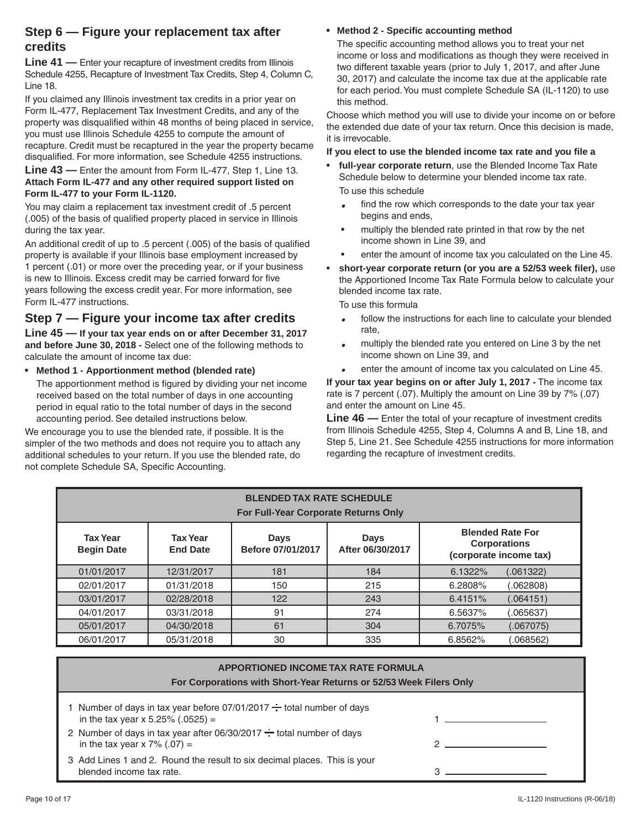# **Step 6 — Figure your replacement tax after credits**

**Line 41 —** Enter your recapture of investment credits from Illinois Schedule 4255, Recapture of Investment Tax Credits, Step 4, Column C, Line 18.

If you claimed any Illinois investment tax credits in a prior year on Form IL-477, Replacement Tax Investment Credits, and any of the property was disqualified within 48 months of being placed in service, you must use Illinois Schedule 4255 to compute the amount of recapture. Credit must be recaptured in the year the property became disqualified. For more information, see Schedule 4255 instructions.

#### **Line 43 —** Enter the amount from Form IL-477, Step 1, Line 13. **Attach Form IL-477 and any other required support listed on Form IL-477 to your Form IL-1120.**

You may claim a replacement tax investment credit of .5 percent (.005) of the basis of qualified property placed in service in Illinois during the tax year.

An additional credit of up to .5 percent (.005) of the basis of qualified property is available if your Illinois base employment increased by 1 percent (.01) or more over the preceding year, or if your business is new to Illinois. Excess credit may be carried forward for five years following the excess credit year. For more information, see Form IL-477 instructions.

# **Step 7 — Figure your income tax after credits**

**Line 45 — If your tax year ends on or after December 31, 2017 and before June 30, 2018 -** Select one of the following methods to calculate the amount of income tax due:

**• Method 1 - Apportionment method (blended rate)** 

 The apportionment method is figured by dividing your net income received based on the total number of days in one accounting period in equal ratio to the total number of days in the second accounting period. See detailed instructions below.

We encourage you to use the blended rate, if possible. It is the simpler of the two methods and does not require you to attach any additional schedules to your return. If you use the blended rate, do not complete Schedule SA, Specific Accounting.

#### **Method 2 - Specific accounting method**

The specific accounting method allows you to treat your net income or loss and modifications as though they were received in two different taxable years (prior to July 1, 2017, and after June 30, 2017) and calculate the income tax due at the applicable rate for each period.You must complete Schedule SA (IL-1120) to use this method.

Choose which method you will use to divide your income on or before the extended due date of your tax return. Once this decision is made, it is irrevocable.

**If you elect to use the blended income tax rate and you file a**

- full-year corporate return, use the Blended Income Tax Rate Schedule below to determine your blended income tax rate. To use this schedule
	- **•** find the row which corresponds to the date your tax year begins and ends,
	- multiply the blended rate printed in that row by the net income shown in Line 39, and
	- enter the amount of income tax you calculated on the Line 45.
- short-year corporate return (or you are a 52/53 week filer), use the Apportioned Income Tax Rate Formula below to calculate your blended income tax rate.

 To use this formula

- **•** follow the instructions for each line to calculate your blended rate,
- **•** multiply the blended rate you entered on Line 3 by the net income shown on Line 39, and
- **•** enter the amount of income tax you calculated on Line 45.

**If your tax year begins on or after July 1, 2017 -** The income tax rate is 7 percent (.07). Multiply the amount on Line 39 by 7% (.07) and enter the amount on Line 45.

**Line 46 —** Enter the total of your recapture of investment credits from Illinois Schedule 4255, Step 4, Columns A and B, Line 18, and Step 5, Line 21. See Schedule 4255 instructions for more information regarding the recapture of investment credits.

| <b>BLENDED TAX RATE SCHEDULE</b><br>For Full-Year Corporate Returns Only |                                    |                                  |                                 |                                                                          |  |  |
|--------------------------------------------------------------------------|------------------------------------|----------------------------------|---------------------------------|--------------------------------------------------------------------------|--|--|
| <b>Tax Year</b><br><b>Begin Date</b>                                     | <b>Tax Year</b><br><b>End Date</b> | <b>Days</b><br>Before 07/01/2017 | <b>Days</b><br>After 06/30/2017 | <b>Blended Rate For</b><br><b>Corporations</b><br>(corporate income tax) |  |  |
| 01/01/2017                                                               | 12/31/2017                         | 181                              | 184                             | 6.1322%<br>(.061322)                                                     |  |  |
| 02/01/2017                                                               | 01/31/2018                         | 150                              | 215                             | 6.2808%<br>(.062808)                                                     |  |  |
| 03/01/2017                                                               | 02/28/2018                         | 122                              | 243                             | 6.4151%<br>(.064151)                                                     |  |  |
| 04/01/2017                                                               | 03/31/2018                         | 91                               | 274                             | 6.5637%<br>(.065637)                                                     |  |  |
| 05/01/2017                                                               | 04/30/2018                         | 61                               | 304                             | 6.7075%<br>(.067075)                                                     |  |  |
| 06/01/2017                                                               | 05/31/2018                         | 30                               | 335                             | 6.8562%<br>(068562)                                                      |  |  |

| <b>APPORTIONED INCOME TAX RATE FORMULA</b><br>For Corporations with Short-Year Returns or 52/53 Week Filers Only                                                                                                                |  |  |  |  |
|---------------------------------------------------------------------------------------------------------------------------------------------------------------------------------------------------------------------------------|--|--|--|--|
| 1 Number of days in tax year before $07/01/2017 \div$ total number of days<br>in the tax year x 5.25% (.0525) =<br>2 Number of days in tax year after $06/30/2017 \div$ total number of days<br>in the tax year x $7\%$ (.07) = |  |  |  |  |
| 3 Add Lines 1 and 2. Round the result to six decimal places. This is your<br>blended income tax rate.                                                                                                                           |  |  |  |  |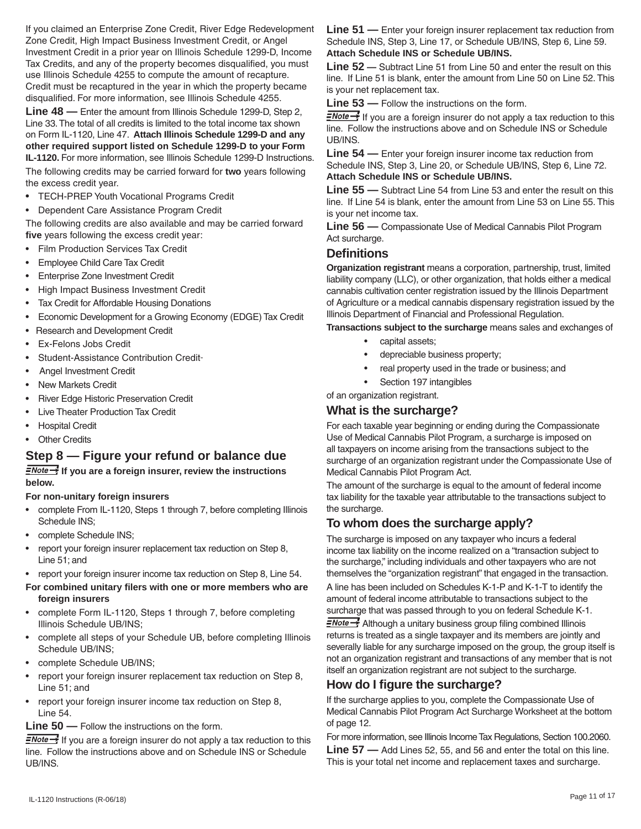If you claimed an Enterprise Zone Credit, River Edge Redevelopment Zone Credit, High Impact Business Investment Credit, or Angel Investment Credit in a prior year on Illinois Schedule 1299-D, Income Tax Credits, and any of the property becomes disqualified, you must use Illinois Schedule 4255 to compute the amount of recapture. Credit must be recaptured in the year in which the property became disqualified. For more information, see Illinois Schedule 4255.

**Line 48 —** Enter the amount from Illinois Schedule 1299-D, Step 2, Line 33.The total of all credits is limited to the total income tax shown on Form IL-1120, Line 47. **Attach Illinois Schedule 1299-D and any other required support listed on Schedule 1299-D to your Form IL-1120.** For more information, see Illinois Schedule 1299-D Instructions.

The following credits may be carried forward for **two** years following the excess credit year.

- • TECH-PREP Youth Vocational Programs Credit
- • Dependent Care Assistance Program Credit

The following credits are also available and may be carried forward **five** years following the excess credit year:

- • Film Production Services Tax Credit
- **Employee Child Care Tax Credit**
- **Enterprise Zone Investment Credit**
- **High Impact Business Investment Credit**
- • Tax Credit for Affordable Housing Donations
- • Economic Development for a Growing Economy (EDGE) Tax Credit
- Research and Development Credit
- • Ex-Felons Jobs Credit
- Student-Assistance Contribution Credit-
- Angel Investment Credit
- New Markets Credit
- **River Edge Historic Preservation Credit**
- **Live Theater Production Tax Credit**
- **Hospital Credit**
- **Other Credits**

## **Step 8 — Figure your refund or balance due**

**If you are a foreign insurer, review the instructions below.**

#### **For non-unitary foreign insurers**

- complete From IL-1120, Steps 1 through 7, before completing Illinois Schedule INS;
- complete Schedule INS;
- report your foreign insurer replacement tax reduction on Step 8, Line 51; and
- report your foreign insurer income tax reduction on Step 8, Line 54.
- **For combined unitary filers with one or more members who are foreign insurers**
- complete Form IL-1120, Steps 1 through 7, before completing Illinois Schedule UB/INS;
- complete all steps of your Schedule UB, before completing Illinois Schedule UB/INS;
- complete Schedule UB/INS;
- report your foreign insurer replacement tax reduction on Step 8, Line 51; and
- report your foreign insurer income tax reduction on Step 8, Line 54.

#### **Line 50 —** Follow the instructions on the form.

 $\frac{1}{2}$  If you are a foreign insurer do not apply a tax reduction to this line. Follow the instructions above and on Schedule INS or Schedule UB/INS.

**Line 51 —** Enter your foreign insurer replacement tax reduction from Schedule INS, Step 3, Line 17, or Schedule UB/INS, Step 6, Line 59. **Attach Schedule INS or Schedule UB/INS.**

**Line 52 —** Subtract Line 51 from Line 50 and enter the result on this line. If Line 51 is blank, enter the amount from Line 50 on Line 52.This is your net replacement tax.

**Line 53 —** Follow the instructions on the form.

 $\equiv$ Note  $\rightarrow$  If you are a foreign insurer do not apply a tax reduction to this line. Follow the instructions above and on Schedule INS or Schedule UB/INS.

**Line 54 —** Enter your foreign insurer income tax reduction from Schedule INS, Step 3, Line 20, or Schedule UB/INS, Step 6, Line 72. **Attach Schedule INS or Schedule UB/INS.**

**Line 55 —** Subtract Line 54 from Line 53 and enter the result on this line. If Line 54 is blank, enter the amount from Line 53 on Line 55.This is your net income tax.

**Line 56 —** Compassionate Use of Medical Cannabis Pilot Program Act surcharge.

# **Definitions**

**Organization registrant** means a corporation, partnership, trust, limited liability company (LLC), or other organization, that holds either a medical cannabis cultivation center registration issued by the Illinois Department of Agriculture or a medical cannabis dispensary registration issued by the Illinois Department of Financial and Professional Regulation.

**Transactions subject to the surcharge** means sales and exchanges of

- capital assets;
	- depreciable business property;
	- real property used in the trade or business; and
	- Section 197 intangibles

#### of an organization registrant.

#### **What is the surcharge?**

For each taxable year beginning or ending during the Compassionate Use of Medical Cannabis Pilot Program, a surcharge is imposed on all taxpayers on income arising from the transactions subject to the surcharge of an organization registrant under the Compassionate Use of Medical Cannabis Pilot Program Act.

The amount of the surcharge is equal to the amount of federal income tax liability for the taxable year attributable to the transactions subject to the surcharge.

# **To whom does the surcharge apply?**

The surcharge is imposed on any taxpayer who incurs a federal income tax liability on the income realized on a "transaction subject to the surcharge," including individuals and other taxpayers who are not themselves the "organization registrant" that engaged in the transaction. A line has been included on Schedules K-1-P and K-1-T to identify the amount of federal income attributable to transactions subject to the surcharge that was passed through to you on federal Schedule K-1.

**ENote >>** Although a unitary business group filing combined Illinois returns is treated as a single taxpayer and its members are jointly and severally liable for any surcharge imposed on the group, the group itself is not an organization registrant and transactions of any member that is not itself an organization registrant are not subject to the surcharge.

# **How do I figure the surcharge?**

If the surcharge applies to you, complete the Compassionate Use of Medical Cannabis Pilot Program Act Surcharge Worksheet at the bottom of page 12.

For more information, see Illinois Income Tax Regulations, Section 100.2060. **Line 57 —** Add Lines 52, 55, and 56 and enter the total on this line. This is your total net income and replacement taxes and surcharge.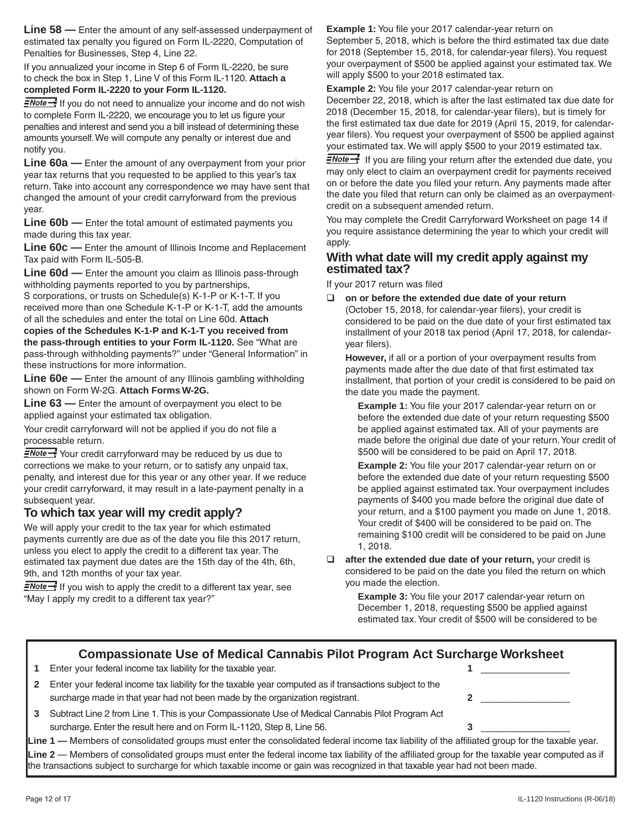**Line 58 —** Enter the amount of any self-assessed underpayment of estimated tax penalty you figured on Form IL-2220, Computation of Penalties for Businesses, Step 4, Line 22.

If you annualized your income in Step 6 of Form IL-2220, be sure to check the box in Step 1, Line V of this Form IL-1120. **Attach a completed Form IL-2220 to your Form IL-1120.**

 $\frac{1}{2}$  Mote  $\rightarrow$  If you do not need to annualize your income and do not wish to complete Form IL-2220, we encourage you to let us figure your penalties and interest and send you a bill instead of determining these amounts yourself.We will compute any penalty or interest due and notify you.

**Line 60a —** Enter the amount of any overpayment from your prior year tax returns that you requested to be applied to this year's tax return. Take into account any correspondence we may have sent that changed the amount of your credit carryforward from the previous year.

**Line 60b —** Enter the total amount of estimated payments you made during this tax year.

**Line 60c —** Enter the amount of Illinois Income and Replacement Tax paid with Form IL-505-B.

**Line 60d —** Enter the amount you claim as Illinois pass-through withholding payments reported to you by partnerships,

S corporations, or trusts on Schedule(s) K-1-P or K-1-T. If you received more than one Schedule K-1-P or K-1-T, add the amounts of all the schedules and enter the total on Line 60d. **Attach copies of the Schedules K-1-P and K-1-T you received from the pass-through entities to your Form IL-1120.** See "What are pass-through withholding payments?" under "General Information" in these instructions for more information.

**Line 60e —** Enter the amount of any Illinois gambling withholding shown on Form W-2G. **Attach Forms W-2G.**

**Line 63 —** Enter the amount of overpayment you elect to be applied against your estimated tax obligation.

Your credit carryforward will not be applied if you do not file a processable return.

**ENote** Your credit carryforward may be reduced by us due to corrections we make to your return, or to satisfy any unpaid tax, penalty, and interest due for this year or any other year. If we reduce your credit carryforward, it may result in a late-payment penalty in a subsequent year.

## **To which tax year will my credit apply?**

We will apply your credit to the tax year for which estimated payments currently are due as of the date you file this 2017 return, unless you elect to apply the credit to a different tax year. The estimated tax payment due dates are the 15th day of the 4th, 6th, 9th, and 12th months of your tax year.

 $\frac{1}{2}$  If you wish to apply the credit to a different tax year, see "May I apply my credit to a different tax year?"

**Example 1:** You file your 2017 calendar-year return on

September 5, 2018, which is before the third estimated tax due date for 2018 (September 15, 2018, for calendar-year filers). You request your overpayment of \$500 be applied against your estimated tax. We will apply \$500 to your 2018 estimated tax.

**Example 2:** You file your 2017 calendar-year return on

December 22, 2018, which is after the last estimated tax due date for 2018 (December 15, 2018, for calendar-year filers), but is timely for the first estimated tax due date for 2019 (April 15, 2019, for calendaryear filers).You request your overpayment of \$500 be applied against your estimated tax. We will apply \$500 to your 2019 estimated tax.

 $\frac{1}{2}$  If you are filing your return after the extended due date, you may only elect to claim an overpayment credit for payments received on or before the date you filed your return. Any payments made after the date you filed that return can only be claimed as an overpayment credit on a subsequent amended return.

You may complete the Credit Carryforward Worksheet on page 14 if you require assistance determining the year to which your credit will apply.

#### **With what date will my credit apply against my estimated tax?**

If your 2017 return was filed

 **on or before the extended due date of your return** (October 15, 2018, for calendar-year filers), your credit is considered to be paid on the due date of your first estimated tax installment of your 2018 tax period (April 17, 2018, for calendaryear filers).

**However,** if all or a portion of your overpayment results from payments made after the due date of that first estimated tax installment, that portion of your credit is considered to be paid on the date you made the payment.

**Example 1:** You file your 2017 calendar-year return on or before the extended due date of your return requesting \$500 be applied against estimated tax. All of your payments are made before the original due date of your return.Your credit of \$500 will be considered to be paid on April 17, 2018.

**Example 2:** You file your 2017 calendar-year return on or before the extended due date of your return requesting \$500 be applied against estimated tax.Your overpayment includes payments of \$400 you made before the original due date of your return, and a \$100 payment you made on June 1, 2018. Your credit of \$400 will be considered to be paid on. The remaining \$100 credit will be considered to be paid on June 1, 2018.

**after the extended due date of your return, your credit is** considered to be paid on the date you filed the return on which you made the election.

> **Example 3:** You file your 2017 calendar-year return on December 1, 2018, requesting \$500 be applied against estimated tax.Your credit of \$500 will be considered to be

# **Compassionate Use of Medical Cannabis Pilot Program Act Surcharge Worksheet**

**1** Enter your federal income tax liability for the taxable year.

| 2 Enter your federal income tax liability for the taxable year computed as if transactions subject to the |  |
|-----------------------------------------------------------------------------------------------------------|--|
| surcharge made in that year had not been made by the organization registrant.                             |  |

**3** Subtract Line 2 from Line 1.This is your Compassionate Use of Medical Cannabis Pilot Program Act surcharge. Enter the result here and on Form IL-1120, Step 8, Line 56. **3 3** 

**Line 1 —** Members of consolidated groups must enter the consolidated federal income tax liability of the affiliated group for the taxable year. **Line 2** — Members of consolidated groups must enter the federal income tax liability of the affiliated group for the taxable year computed as if the transactions subject to surcharge for which taxable income or gain was recognized in that taxable year had not been made.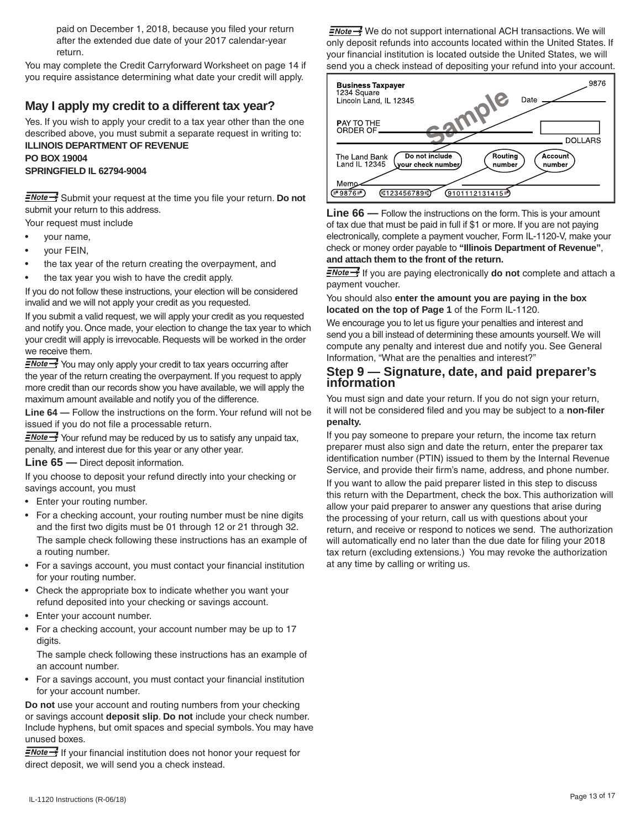paid on December 1, 2018, because you filed your return after the extended due date of your 2017 calendar-year return.

You may complete the Credit Carryforward Worksheet on page 14 if you require assistance determining what date your credit will apply.

# **May I apply my credit to a different tax year?**

Yes. If you wish to apply your credit to a tax year other than the one described above, you must submit a separate request in writing to: **ILLINOIS DEPARTMENT OF REVENUE**

**PO BOX 19004 SPRINGFIELD IL 62794-9004**

**ENote** Submit your request at the time you file your return. Do not submit your return to this address.

Your request must include

- your name,
- vour FEIN,
- the tax year of the return creating the overpayment, and
- the tax year you wish to have the credit apply.

If you do not follow these instructions, your election will be considered invalid and we will not apply your credit as you requested.

If you submit a valid request, we will apply your credit as you requested and notify you. Once made, your election to change the tax year to which your credit will apply is irrevocable. Requests will be worked in the order we receive them.

ENote \* You may only apply your credit to tax years occurring after the year of the return creating the overpayment. If you request to apply more credit than our records show you have available, we will apply the maximum amount available and notify you of the difference.

**Line 64 —** Follow the instructions on the form.Your refund will not be issued if you do not file a processable return.

 $\frac{N}{2}$  Your refund may be reduced by us to satisfy any unpaid tax, penalty, and interest due for this year or any other year.

**Line 65 —** Direct deposit information.

If you choose to deposit your refund directly into your checking or savings account, you must

- Enter your routing number.
- For a checking account, your routing number must be nine digits and the first two digits must be 01 through 12 or 21 through 32. The sample check following these instructions has an example of

 a routing number.

- For a savings account, you must contact your financial institution for your routing number.
- Check the appropriate box to indicate whether you want your refund deposited into your checking or savings account.
- Enter your account number.
- For a checking account, your account number may be up to 17 digits.

 The sample check following these instructions has an example of an account number.

• For a savings account, you must contact your financial institution for your account number.

**Do not** use your account and routing numbers from your checking or savings account **deposit slip**. **Do not** include your check number. Include hyphens, but omit spaces and special symbols.You may have unused boxes.

 $\frac{1}{2}$  Mote  $\rightarrow$  If your financial institution does not honor your request for direct deposit, we will send you a check instead.

 $\frac{1}{2}$  We do not support international ACH transactions. We will only deposit refunds into accounts located within the United States. If your financial institution is located outside the United States, we will send you a check instead of depositing your refund into your account.



**Line 66 —** Follow the instructions on the form. This is your amount of tax due that must be paid in full if \$1 or more. If you are not paying electronically, complete a payment voucher, Form IL-1120-V, make your check or money order payable to **"Illinois Department of Revenue"**, **and attach them to the front of the return.**

**ENote**<sup>1</sup> If you are paying electronically **do not** complete and attach a payment voucher.

You should also **enter the amount you are paying in the box located on the top of Page 1** of the Form IL-1120.

We encourage you to let us figure your penalties and interest and send you a bill instead of determining these amounts yourself.We will compute any penalty and interest due and notify you. See General Information, "What are the penalties and interest?"

# **Step 9 — Signature, date, and paid preparer's information**

You must sign and date your return. If you do not sign your return, it will not be considered filed and you may be subject to a **non-filer penalty.**

If you pay someone to prepare your return, the income tax return preparer must also sign and date the return, enter the preparer tax identification number (PTIN) issued to them by the Internal Revenue Service, and provide their firm's name, address, and phone number. If you want to allow the paid preparer listed in this step to discuss this return with the Department, check the box. This authorization will allow your paid preparer to answer any questions that arise during the processing of your return, call us with questions about your return, and receive or respond to notices we send. The authorization will automatically end no later than the due date for filing your 2018 tax return (excluding extensions.) You may revoke the authorization at any time by calling or writing us.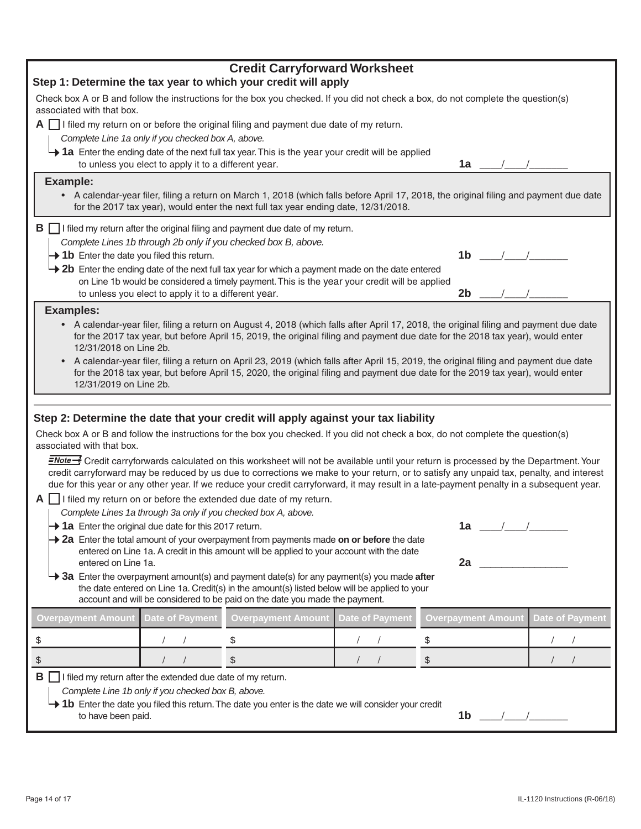| <b>Credit Carryforward Worksheet</b>                                                                                                                                                                                                                                                                          |                                                                                                                                                                                                                               |                                                                                                                                                                                                                                                                                      |                        |                                     |                        |  |  |
|---------------------------------------------------------------------------------------------------------------------------------------------------------------------------------------------------------------------------------------------------------------------------------------------------------------|-------------------------------------------------------------------------------------------------------------------------------------------------------------------------------------------------------------------------------|--------------------------------------------------------------------------------------------------------------------------------------------------------------------------------------------------------------------------------------------------------------------------------------|------------------------|-------------------------------------|------------------------|--|--|
| Step 1: Determine the tax year to which your credit will apply                                                                                                                                                                                                                                                |                                                                                                                                                                                                                               |                                                                                                                                                                                                                                                                                      |                        |                                     |                        |  |  |
| Check box A or B and follow the instructions for the box you checked. If you did not check a box, do not complete the question(s)<br>associated with that box.                                                                                                                                                |                                                                                                                                                                                                                               |                                                                                                                                                                                                                                                                                      |                        |                                     |                        |  |  |
|                                                                                                                                                                                                                                                                                                               |                                                                                                                                                                                                                               | $A \Box$ I filed my return on or before the original filing and payment due date of my return.                                                                                                                                                                                       |                        |                                     |                        |  |  |
|                                                                                                                                                                                                                                                                                                               | Complete Line 1a only if you checked box A, above.                                                                                                                                                                            |                                                                                                                                                                                                                                                                                      |                        |                                     |                        |  |  |
|                                                                                                                                                                                                                                                                                                               |                                                                                                                                                                                                                               | 1a Enter the ending date of the next full tax year. This is the year your credit will be applied                                                                                                                                                                                     |                        |                                     |                        |  |  |
|                                                                                                                                                                                                                                                                                                               | to unless you elect to apply it to a different year.                                                                                                                                                                          |                                                                                                                                                                                                                                                                                      |                        | 1a                                  |                        |  |  |
| <b>Example:</b>                                                                                                                                                                                                                                                                                               |                                                                                                                                                                                                                               |                                                                                                                                                                                                                                                                                      |                        |                                     |                        |  |  |
|                                                                                                                                                                                                                                                                                                               | • A calendar-year filer, filing a return on March 1, 2018 (which falls before April 17, 2018, the original filing and payment due date<br>for the 2017 tax year), would enter the next full tax year ending date, 12/31/2018. |                                                                                                                                                                                                                                                                                      |                        |                                     |                        |  |  |
|                                                                                                                                                                                                                                                                                                               |                                                                                                                                                                                                                               | $\mathbf{B}$ $\Box$ I filed my return after the original filing and payment due date of my return.                                                                                                                                                                                   |                        |                                     |                        |  |  |
|                                                                                                                                                                                                                                                                                                               |                                                                                                                                                                                                                               | Complete Lines 1b through 2b only if you checked box B, above.                                                                                                                                                                                                                       |                        |                                     |                        |  |  |
| $\rightarrow$ 1b Enter the date you filed this return.                                                                                                                                                                                                                                                        |                                                                                                                                                                                                                               |                                                                                                                                                                                                                                                                                      |                        | 1 <sub>b</sub>                      |                        |  |  |
|                                                                                                                                                                                                                                                                                                               |                                                                                                                                                                                                                               | $\rightarrow$ 2b Enter the ending date of the next full tax year for which a payment made on the date entered                                                                                                                                                                        |                        |                                     |                        |  |  |
|                                                                                                                                                                                                                                                                                                               |                                                                                                                                                                                                                               | on Line 1b would be considered a timely payment. This is the year your credit will be applied                                                                                                                                                                                        |                        |                                     |                        |  |  |
|                                                                                                                                                                                                                                                                                                               | to unless you elect to apply it to a different year.                                                                                                                                                                          |                                                                                                                                                                                                                                                                                      |                        | 2 <sub>b</sub>                      |                        |  |  |
| <b>Examples:</b>                                                                                                                                                                                                                                                                                              |                                                                                                                                                                                                                               |                                                                                                                                                                                                                                                                                      |                        |                                     |                        |  |  |
| 12/31/2018 on Line 2b.                                                                                                                                                                                                                                                                                        |                                                                                                                                                                                                                               | • A calendar-year filer, filing a return on August 4, 2018 (which falls after April 17, 2018, the original filing and payment due date<br>for the 2017 tax year, but before April 15, 2019, the original filing and payment due date for the 2018 tax year), would enter             |                        |                                     |                        |  |  |
| A calendar-year filer, filing a return on April 23, 2019 (which falls after April 15, 2019, the original filing and payment due date<br>$\bullet$<br>for the 2018 tax year, but before April 15, 2020, the original filing and payment due date for the 2019 tax year), would enter<br>12/31/2019 on Line 2b. |                                                                                                                                                                                                                               |                                                                                                                                                                                                                                                                                      |                        |                                     |                        |  |  |
|                                                                                                                                                                                                                                                                                                               |                                                                                                                                                                                                                               |                                                                                                                                                                                                                                                                                      |                        |                                     |                        |  |  |
|                                                                                                                                                                                                                                                                                                               |                                                                                                                                                                                                                               | Step 2: Determine the date that your credit will apply against your tax liability                                                                                                                                                                                                    |                        |                                     |                        |  |  |
| associated with that box.                                                                                                                                                                                                                                                                                     |                                                                                                                                                                                                                               | Check box A or B and follow the instructions for the box you checked. If you did not check a box, do not complete the question(s)                                                                                                                                                    |                        |                                     |                        |  |  |
|                                                                                                                                                                                                                                                                                                               |                                                                                                                                                                                                                               | ENote Scredit carryforwards calculated on this worksheet will not be available until your return is processed by the Department. Your                                                                                                                                                |                        |                                     |                        |  |  |
|                                                                                                                                                                                                                                                                                                               |                                                                                                                                                                                                                               | credit carryforward may be reduced by us due to corrections we make to your return, or to satisfy any unpaid tax, penalty, and interest<br>due for this year or any other year. If we reduce your credit carryforward, it may result in a late-payment penalty in a subsequent year. |                        |                                     |                        |  |  |
|                                                                                                                                                                                                                                                                                                               |                                                                                                                                                                                                                               | $A \Box$ I filed my return on or before the extended due date of my return.                                                                                                                                                                                                          |                        |                                     |                        |  |  |
| Complete Lines 1a through 3a only if you checked box A, above.                                                                                                                                                                                                                                                |                                                                                                                                                                                                                               |                                                                                                                                                                                                                                                                                      |                        |                                     |                        |  |  |
| $\rightarrow$ 1a Enter the original due date for this 2017 return.                                                                                                                                                                                                                                            |                                                                                                                                                                                                                               |                                                                                                                                                                                                                                                                                      |                        | 1a $/$ /                            |                        |  |  |
|                                                                                                                                                                                                                                                                                                               |                                                                                                                                                                                                                               | → 2a Enter the total amount of your overpayment from payments made on or before the date                                                                                                                                                                                             |                        |                                     |                        |  |  |
|                                                                                                                                                                                                                                                                                                               |                                                                                                                                                                                                                               | entered on Line 1a. A credit in this amount will be applied to your account with the date                                                                                                                                                                                            |                        |                                     |                        |  |  |
| entered on Line 1a.                                                                                                                                                                                                                                                                                           |                                                                                                                                                                                                                               |                                                                                                                                                                                                                                                                                      |                        | 2a                                  |                        |  |  |
|                                                                                                                                                                                                                                                                                                               | $\rightarrow$ 3a Enter the overpayment amount(s) and payment date(s) for any payment(s) you made after                                                                                                                        |                                                                                                                                                                                                                                                                                      |                        |                                     |                        |  |  |
|                                                                                                                                                                                                                                                                                                               | the date entered on Line 1a. Credit(s) in the amount(s) listed below will be applied to your<br>account and will be considered to be paid on the date you made the payment.                                                   |                                                                                                                                                                                                                                                                                      |                        |                                     |                        |  |  |
| <b>Overpayment Amount</b>                                                                                                                                                                                                                                                                                     | <b>Date of Payment</b>                                                                                                                                                                                                        | <b>Overpayment Amount</b>                                                                                                                                                                                                                                                            | <b>Date of Payment</b> | <b>Overpayment Amount</b>           | <b>Date of Payment</b> |  |  |
| \$                                                                                                                                                                                                                                                                                                            |                                                                                                                                                                                                                               | \$                                                                                                                                                                                                                                                                                   | \$                     |                                     |                        |  |  |
| $\, \, \raisebox{12pt}{$\scriptstyle \circ$}$                                                                                                                                                                                                                                                                 |                                                                                                                                                                                                                               | $\, \, \raisebox{12pt}{$\scriptstyle \circ$}$                                                                                                                                                                                                                                        | \$                     |                                     |                        |  |  |
| $\mathbf{B} \ \Box$ I filed my return after the extended due date of my return.                                                                                                                                                                                                                               |                                                                                                                                                                                                                               |                                                                                                                                                                                                                                                                                      |                        |                                     |                        |  |  |
| Complete Line 1b only if you checked box B, above.                                                                                                                                                                                                                                                            |                                                                                                                                                                                                                               |                                                                                                                                                                                                                                                                                      |                        |                                     |                        |  |  |
|                                                                                                                                                                                                                                                                                                               |                                                                                                                                                                                                                               | → 1b Enter the date you filed this return. The date you enter is the date we will consider your credit                                                                                                                                                                               |                        |                                     |                        |  |  |
| to have been paid.                                                                                                                                                                                                                                                                                            |                                                                                                                                                                                                                               |                                                                                                                                                                                                                                                                                      |                        | 1b $\frac{1}{\sqrt{1-\frac{1}{2}}}$ |                        |  |  |
|                                                                                                                                                                                                                                                                                                               |                                                                                                                                                                                                                               |                                                                                                                                                                                                                                                                                      |                        |                                     |                        |  |  |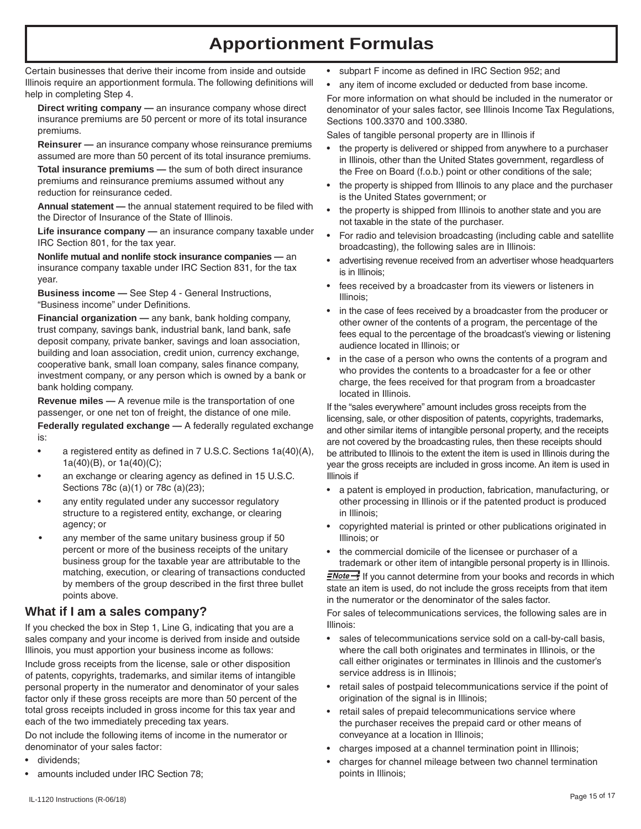# **Apportionment Formulas**

Certain businesses that derive their income from inside and outside Illinois require an apportionment formula. The following definitions will help in completing Step 4.

**Direct writing company —** an insurance company whose direct insurance premiums are 50 percent or more of its total insurance premiums.

**Reinsurer —** an insurance company whose reinsurance premiums assumed are more than 50 percent of its total insurance premiums.

**Total insurance premiums —** the sum of both direct insurance premiums and reinsurance premiums assumed without any reduction for reinsurance ceded.

**Annual statement —** the annual statement required to be filed with the Director of Insurance of the State of Illinois.

**Life insurance company —** an insurance company taxable under IRC Section 801, for the tax year.

**Nonlife mutual and nonlife stock insurance companies —** an insurance company taxable under IRC Section 831, for the tax year.

**Business income —** See Step 4 - General Instructions, "Business income" under Definitions.

**Financial organization —** any bank, bank holding company, trust company, savings bank, industrial bank, land bank, safe deposit company, private banker, savings and loan association, building and loan association, credit union, currency exchange, cooperative bank, small loan company, sales finance company, investment company, or any person which is owned by a bank or bank holding company.

**Revenue miles —** A revenue mile is the transportation of one passenger, or one net ton of freight, the distance of one mile. **Federally regulated exchange —** A federally regulated exchange

is:

- a registered entity as defined in  $7$  U.S.C. Sections  $1a(40)(A)$ , 1a(40)(B), or 1a(40)(C);
- an exchange or clearing agency as defined in 15 U.S.C. Sections 78c (a)(1) or 78c (a)(23);
- any entity regulated under any successor regulatory structure to a registered entity, exchange, or clearing agency; or
- any member of the same unitary business group if 50 percent or more of the business receipts of the unitary business group for the taxable year are attributable to the matching, execution, or clearing of transactions conducted by members of the group described in the first three bullet points above.

## **What if I am a sales company?**

If you checked the box in Step 1, Line G, indicating that you are a sales company and your income is derived from inside and outside Illinois, you must apportion your business income as follows: Include gross receipts from the license, sale or other disposition of patents, copyrights, trademarks, and similar items of intangible personal property in the numerator and denominator of your sales factor only if these gross receipts are more than 50 percent of the total gross receipts included in gross income for this tax year and each of the two immediately preceding tax years.

Do not include the following items of income in the numerator or denominator of your sales factor:

- dividends:
- amounts included under IRC Section 78:
- subpart F income as defined in IRC Section 952; and
- any item of income excluded or deducted from base income.

For more information on what should be included in the numerator or denominator of your sales factor, see Illinois Income Tax Regulations, Sections 100.3370 and 100.3380.

Sales of tangible personal property are in Illinois if

- the property is delivered or shipped from anywhere to a purchaser in Illinois, other than the United States government, regardless of the Free on Board (f.o.b.) point or other conditions of the sale;
- the property is shipped from Illinois to any place and the purchaser is the United States government; or
- the property is shipped from Illinois to another state and you are not taxable in the state of the purchaser.
- For radio and television broadcasting (including cable and satellite broadcasting), the following sales are in Illinois:
- advertising revenue received from an advertiser whose headquarters is in Illinois;
- fees received by a broadcaster from its viewers or listeners in Illinois;
- in the case of fees received by a broadcaster from the producer or other owner of the contents of a program, the percentage of the fees equal to the percentage of the broadcast's viewing or listening audience located in Illinois; or
- in the case of a person who owns the contents of a program and who provides the contents to a broadcaster for a fee or other charge, the fees received for that program from a broadcaster located in Illinois.

If the "sales everywhere" amount includes gross receipts from the licensing, sale, or other disposition of patents, copyrights, trademarks, and other similar items of intangible personal property, and the receipts are not covered by the broadcasting rules, then these receipts should be attributed to Illinois to the extent the item is used in Illinois during the year the gross receipts are included in gross income. An item is used in Illinois if

- • a patent is employed in production, fabrication, manufacturing, or other processing in Illinois or if the patented product is produced in Illinois;
- copyrighted material is printed or other publications originated in Illinois; or
- the commercial domicile of the licensee or purchaser of a trademark or other item of intangible personal property is in Illinois.

 $\equiv$ Note  $\rightarrow$  If you cannot determine from your books and records in which state an item is used, do not include the gross receipts from that item in the numerator or the denominator of the sales factor.

For sales of telecommunications services, the following sales are in Illinois:

- sales of telecommunications service sold on a call-by-call basis, where the call both originates and terminates in Illinois, or the call either originates or terminates in Illinois and the customer's service address is in Illinois;
- retail sales of postpaid telecommunications service if the point of origination of the signal is in Illinois;
- retail sales of prepaid telecommunications service where the purchaser receives the prepaid card or other means of conveyance at a location in Illinois;
- charges imposed at a channel termination point in Illinois;
- charges for channel mileage between two channel termination points in Illinois;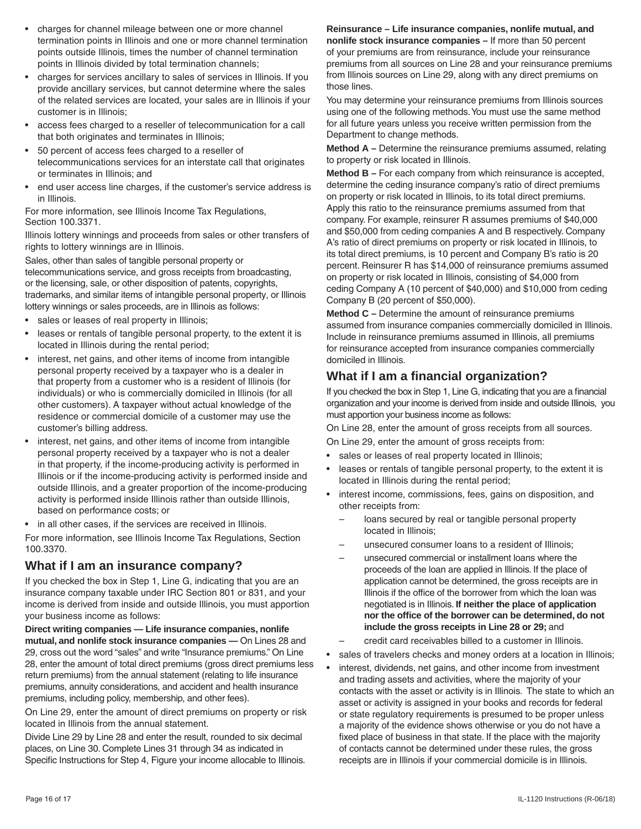- charges for channel mileage between one or more channel termination points in Illinois and one or more channel termination points outside Illinois, times the number of channel termination points in Illinois divided by total termination channels;
- charges for services ancillary to sales of services in Illinois. If you provide ancillary services, but cannot determine where the sales of the related services are located, your sales are in Illinois if your customer is in Illinois;
- access fees charged to a reseller of telecommunication for a call that both originates and terminates in Illinois;
- 50 percent of access fees charged to a reseller of telecommunications services for an interstate call that originates or terminates in Illinois; and
- end user access line charges, if the customer's service address is in Illinois.

For more information, see Illinois Income Tax Regulations, Section 100.3371.

Illinois lottery winnings and proceeds from sales or other transfers of rights to lottery winnings are in Illinois.

Sales, other than sales of tangible personal property or telecommunications service, and gross receipts from broadcasting, or the licensing, sale, or other disposition of patents, copyrights, trademarks, and similar items of intangible personal property, or Illinois lottery winnings or sales proceeds, are in Illinois as follows:

- sales or leases of real property in Illinois;
- leases or rentals of tangible personal property, to the extent it is located in Illinois during the rental period;
- interest, net gains, and other items of income from intangible personal property received by a taxpayer who is a dealer in that property from a customer who is a resident of Illinois (for individuals) or who is commercially domiciled in Illinois (for all other customers). A taxpayer without actual knowledge of the residence or commercial domicile of a customer may use the customer's billing address.
- interest, net gains, and other items of income from intangible personal property received by a taxpayer who is not a dealer in that property, if the income-producing activity is performed in Illinois or if the income-producing activity is performed inside and outside Illinois, and a greater proportion of the income-producing activity is performed inside Illinois rather than outside Illinois, based on performance costs; or
- in all other cases, if the services are received in Illinois.

For more information, see Illinois Income Tax Regulations, Section 100.3370.

# **What if I am an insurance company?**

If you checked the box in Step 1, Line G, indicating that you are an insurance company taxable under IRC Section 801 or 831, and your income is derived from inside and outside Illinois, you must apportion your business income as follows:

**Direct writing companies — Life insurance companies, nonlife mutual, and nonlife stock insurance companies —** On Lines 28 and 29, cross out the word "sales" and write "Insurance premiums." On Line 28, enter the amount of total direct premiums (gross direct premiums less return premiums) from the annual statement (relating to life insurance premiums, annuity considerations, and accident and health insurance premiums, including policy, membership, and other fees).

On Line 29, enter the amount of direct premiums on property or risk located in Illinois from the annual statement.

Divide Line 29 by Line 28 and enter the result, rounded to six decimal places, on Line 30. Complete Lines 31 through 34 as indicated in Specific Instructions for Step 4, Figure your income allocable to Illinois. **Reinsurance – Life insurance companies, nonlife mutual, and nonlife stock insurance companies –** If more than 50 percent of your premiums are from reinsurance, include your reinsurance premiums from all sources on Line 28 and your reinsurance premiums from Illinois sources on Line 29, along with any direct premiums on those lines.

You may determine your reinsurance premiums from Illinois sources using one of the following methods.You must use the same method for all future years unless you receive written permission from the Department to change methods.

**Method A –** Determine the reinsurance premiums assumed, relating to property or risk located in Illinois.

**Method B –** For each company from which reinsurance is accepted, determine the ceding insurance company's ratio of direct premiums on property or risk located in Illinois, to its total direct premiums. Apply this ratio to the reinsurance premiums assumed from that company. For example, reinsurer R assumes premiums of \$40,000 and \$50,000 from ceding companies A and B respectively. Company A's ratio of direct premiums on property or risk located in Illinois, to its total direct premiums, is 10 percent and Company B's ratio is 20 percent. Reinsurer R has \$14,000 of reinsurance premiums assumed on property or risk located in Illinois, consisting of \$4,000 from ceding Company A (10 percent of \$40,000) and \$10,000 from ceding Company B (20 percent of \$50,000).

**Method C –** Determine the amount of reinsurance premiums assumed from insurance companies commercially domiciled in Illinois. Include in reinsurance premiums assumed in Illinois, all premiums for reinsurance accepted from insurance companies commercially domiciled in Illinois.

# **What if I am a financial organization?**

If you checked the box in Step 1, Line G, indicating that you are a financial organization and your income is derived from inside and outside Illinois, you must apportion your business income as follows:

On Line 28, enter the amount of gross receipts from all sources.

On Line 29, enter the amount of gross receipts from:

- sales or leases of real property located in Illinois;
- leases or rentals of tangible personal property, to the extent it is located in Illinois during the rental period;
- interest income, commissions, fees, gains on disposition, and other receipts from:
	- loans secured by real or tangible personal property located in Illinois;
	- unsecured consumer loans to a resident of Illinois:
	- unsecured commercial or installment loans where the proceeds of the loan are applied in Illinois. If the place of application cannot be determined, the gross receipts are in Illinois if the office of the borrower from which the loan was negotiated is in Illinois. **If neither the place of application nor the office of the borrower can be determined, do not include the gross receipts in Line 28 or 29;** and
	- credit card receivables billed to a customer in Illinois.
- sales of travelers checks and money orders at a location in Illinois;
- interest, dividends, net gains, and other income from investment and trading assets and activities, where the majority of your contacts with the asset or activity is in Illinois. The state to which an asset or activity is assigned in your books and records for federal or state regulatory requirements is presumed to be proper unless a majority of the evidence shows otherwise or you do not have a fixed place of business in that state. If the place with the majority of contacts cannot be determined under these rules, the gross receipts are in Illinois if your commercial domicile is in Illinois.